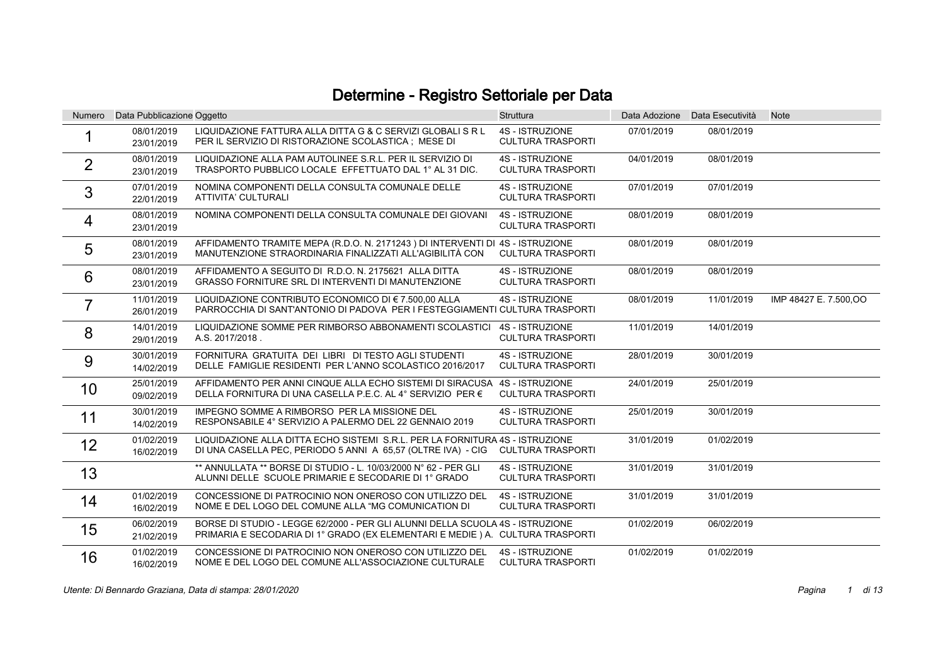## Determine - Registro Settoriale per Data

| Numero         | Data Pubblicazione Oggetto |                                                                                                                                                                | <b>Struttura</b>                                   |            | Data Adozione Data Esecutività | <b>Note</b>            |
|----------------|----------------------------|----------------------------------------------------------------------------------------------------------------------------------------------------------------|----------------------------------------------------|------------|--------------------------------|------------------------|
|                | 08/01/2019<br>23/01/2019   | LIQUIDAZIONE FATTURA ALLA DITTA G & C SERVIZI GLOBALI S R L<br>PER IL SERVIZIO DI RISTORAZIONE SCOLASTICA ; MESE DI                                            | <b>4S - ISTRUZIONE</b><br><b>CULTURA TRASPORTI</b> | 07/01/2019 | 08/01/2019                     |                        |
| $\overline{2}$ | 08/01/2019<br>23/01/2019   | LIQUIDAZIONE ALLA PAM AUTOLINEE S.R.L. PER IL SERVIZIO DI<br>TRASPORTO PUBBLICO LOCALE EFFETTUATO DAL 1° AL 31 DIC.                                            | <b>4S - ISTRUZIONE</b><br><b>CULTURA TRASPORTI</b> | 04/01/2019 | 08/01/2019                     |                        |
| 3              | 07/01/2019<br>22/01/2019   | NOMINA COMPONENTI DELLA CONSULTA COMUNALE DELLE<br>ATTIVITA' CULTURALI                                                                                         | <b>4S - ISTRUZIONE</b><br><b>CULTURA TRASPORTI</b> | 07/01/2019 | 07/01/2019                     |                        |
| 4              | 08/01/2019<br>23/01/2019   | NOMINA COMPONENTI DELLA CONSULTA COMUNALE DEI GIOVANI                                                                                                          | <b>4S - ISTRUZIONE</b><br><b>CULTURA TRASPORTI</b> | 08/01/2019 | 08/01/2019                     |                        |
| 5              | 08/01/2019<br>23/01/2019   | AFFIDAMENTO TRAMITE MEPA (R.D.O. N. 2171243) DI INTERVENTI DI 4S - ISTRUZIONE<br>MANUTENZIONE STRAORDINARIA FINALIZZATI ALL'AGIBILITÀ CON                      | <b>CULTURA TRASPORTI</b>                           | 08/01/2019 | 08/01/2019                     |                        |
| 6              | 08/01/2019<br>23/01/2019   | AFFIDAMENTO A SEGUITO DI R.D.O. N. 2175621 ALLA DITTA<br><b>GRASSO FORNITURE SRL DI INTERVENTI DI MANUTENZIONE</b>                                             | <b>4S - ISTRUZIONE</b><br><b>CULTURA TRASPORTI</b> | 08/01/2019 | 08/01/2019                     |                        |
| $\overline{7}$ | 11/01/2019<br>26/01/2019   | LIQUIDAZIONE CONTRIBUTO ECONOMICO DI € 7.500,00 ALLA<br>PARROCCHIA DI SANT'ANTONIO DI PADOVA PER I FESTEGGIAMENTI CULTURA TRASPORTI                            | <b>4S - ISTRUZIONE</b>                             | 08/01/2019 | 11/01/2019                     | IMP 48427 E. 7.500, OO |
| 8              | 14/01/2019<br>29/01/2019   | LIQUIDAZIONE SOMME PER RIMBORSO ABBONAMENTI SCOLASTICI<br>A.S. 2017/2018.                                                                                      | <b>4S - ISTRUZIONE</b><br><b>CULTURA TRASPORTI</b> | 11/01/2019 | 14/01/2019                     |                        |
| 9              | 30/01/2019<br>14/02/2019   | FORNITURA GRATUITA DEI LIBRI DI TESTO AGLI STUDENTI<br>DELLE FAMIGLIE RESIDENTI PER L'ANNO SCOLASTICO 2016/2017                                                | <b>4S - ISTRUZIONE</b><br><b>CULTURA TRASPORTI</b> | 28/01/2019 | 30/01/2019                     |                        |
| 10             | 25/01/2019<br>09/02/2019   | AFFIDAMENTO PER ANNI CINQUE ALLA ECHO SISTEMI DI SIRACUSA 4S - ISTRUZIONE<br>DELLA FORNITURA DI UNA CASELLA P.E.C. AL 4° SERVIZIO PER €                        | <b>CULTURA TRASPORTI</b>                           | 24/01/2019 | 25/01/2019                     |                        |
| 11             | 30/01/2019<br>14/02/2019   | IMPEGNO SOMME A RIMBORSO PER LA MISSIONE DEL<br>RESPONSABILE 4° SERVIZIO A PALERMO DEL 22 GENNAIO 2019                                                         | <b>4S - ISTRUZIONE</b><br><b>CULTURA TRASPORTI</b> | 25/01/2019 | 30/01/2019                     |                        |
| 12             | 01/02/2019<br>16/02/2019   | LIQUIDAZIONE ALLA DITTA ECHO SISTEMI S.R.L. PER LA FORNITURA 4S - ISTRUZIONE<br>DI UNA CASELLA PEC, PERIODO 5 ANNI A 65,57 (OLTRE IVA) - CIG                   | <b>CULTURA TRASPORTI</b>                           | 31/01/2019 | 01/02/2019                     |                        |
| 13             |                            | ** ANNULLATA ** BORSE DI STUDIO - L. 10/03/2000 N° 62 - PER GLI<br>ALUNNI DELLE SCUOLE PRIMARIE E SECODARIE DI 1º GRADO                                        | <b>4S - ISTRUZIONE</b><br><b>CULTURA TRASPORTI</b> | 31/01/2019 | 31/01/2019                     |                        |
| 14             | 01/02/2019<br>16/02/2019   | CONCESSIONE DI PATROCINIO NON ONEROSO CON UTILIZZO DEL<br>NOME E DEL LOGO DEL COMUNE ALLA "MG COMUNICATION DI                                                  | <b>4S - ISTRUZIONE</b><br><b>CULTURA TRASPORTI</b> | 31/01/2019 | 31/01/2019                     |                        |
| 15             | 06/02/2019<br>21/02/2019   | BORSE DI STUDIO - LEGGE 62/2000 - PER GLI ALUNNI DELLA SCUOLA 4S - ISTRUZIONE<br>PRIMARIA E SECODARIA DI 1º GRADO (EX ELEMENTARI E MEDIE) A. CULTURA TRASPORTI |                                                    | 01/02/2019 | 06/02/2019                     |                        |
| 16             | 01/02/2019<br>16/02/2019   | CONCESSIONE DI PATROCINIO NON ONEROSO CON UTILIZZO DEL<br>NOME E DEL LOGO DEL COMUNE ALL'ASSOCIAZIONE CULTURALE                                                | <b>4S - ISTRUZIONE</b><br><b>CULTURA TRASPORTI</b> | 01/02/2019 | 01/02/2019                     |                        |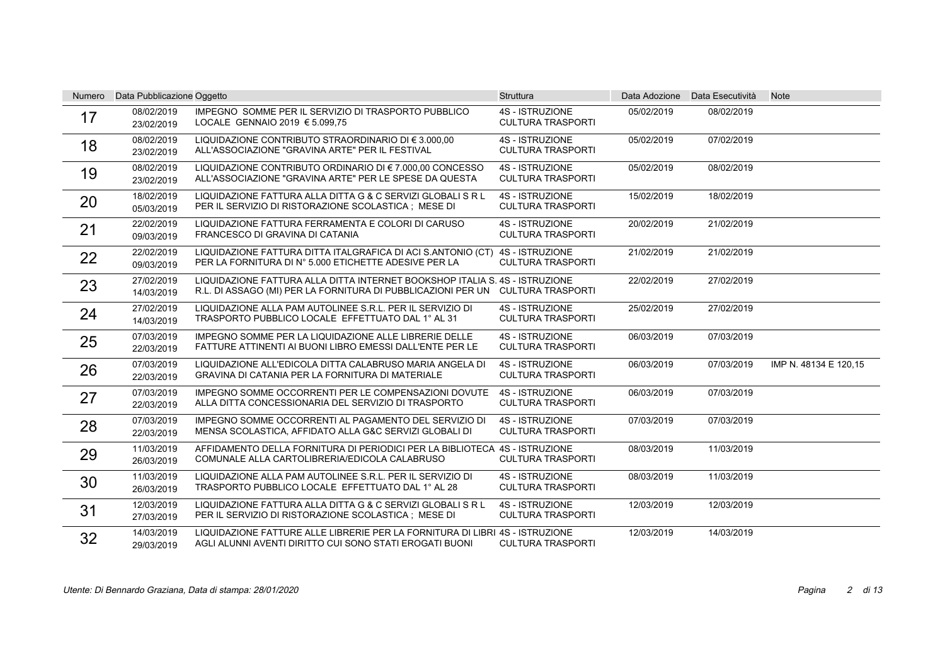| <b>Numero</b> | Data Pubblicazione Oggetto |                                                                                                                                                               | <b>Struttura</b>                                   |            | Data Adozione Data Esecutività | <b>Note</b>           |
|---------------|----------------------------|---------------------------------------------------------------------------------------------------------------------------------------------------------------|----------------------------------------------------|------------|--------------------------------|-----------------------|
| 17            | 08/02/2019<br>23/02/2019   | IMPEGNO SOMME PER IL SERVIZIO DI TRASPORTO PUBBLICO<br>LOCALE GENNAIO 2019 € 5.099,75                                                                         | <b>4S - ISTRUZIONE</b><br><b>CULTURA TRASPORTI</b> | 05/02/2019 | 08/02/2019                     |                       |
| 18            | 08/02/2019<br>23/02/2019   | LIQUIDAZIONE CONTRIBUTO STRAORDINARIO DI € 3.000.00<br>ALL'ASSOCIAZIONE "GRAVINA ARTE" PER IL FESTIVAL                                                        | <b>4S - ISTRUZIONE</b><br><b>CULTURA TRASPORTI</b> | 05/02/2019 | 07/02/2019                     |                       |
| 19            | 08/02/2019<br>23/02/2019   | LIQUIDAZIONE CONTRIBUTO ORDINARIO DI € 7.000,00 CONCESSO<br>ALL'ASSOCIAZIONE "GRAVINA ARTE" PER LE SPESE DA QUESTA                                            | <b>4S - ISTRUZIONE</b><br><b>CULTURA TRASPORTI</b> | 05/02/2019 | 08/02/2019                     |                       |
| 20            | 18/02/2019<br>05/03/2019   | LIQUIDAZIONE FATTURA ALLA DITTA G & C SERVIZI GLOBALI S R L<br>PER IL SERVIZIO DI RISTORAZIONE SCOLASTICA ; MESE DI                                           | <b>4S - ISTRUZIONE</b><br><b>CULTURA TRASPORTI</b> | 15/02/2019 | 18/02/2019                     |                       |
| 21            | 22/02/2019<br>09/03/2019   | LIQUIDAZIONE FATTURA FERRAMENTA E COLORI DI CARUSO<br>FRANCESCO DI GRAVINA DI CATANIA                                                                         | <b>4S - ISTRUZIONE</b><br><b>CULTURA TRASPORTI</b> | 20/02/2019 | 21/02/2019                     |                       |
| 22            | 22/02/2019<br>09/03/2019   | LIQUIDAZIONE FATTURA DITTA ITALGRAFICA DI ACI S.ANTONIO (CT)<br>PER LA FORNITURA DI Nº 5.000 ETICHETTE ADESIVE PER LA                                         | 4S - ISTRUZIONE<br><b>CULTURA TRASPORTI</b>        | 21/02/2019 | 21/02/2019                     |                       |
| 23            | 27/02/2019<br>14/03/2019   | LIQUIDAZIONE FATTURA ALLA DITTA INTERNET BOOKSHOP ITALIA S. 4S - ISTRUZIONE<br>R.L. DI ASSAGO (MI) PER LA FORNITURA DI PUBBLICAZIONI PER UN CULTURA TRASPORTI |                                                    | 22/02/2019 | 27/02/2019                     |                       |
| 24            | 27/02/2019<br>14/03/2019   | LIQUIDAZIONE ALLA PAM AUTOLINEE S.R.L. PER IL SERVIZIO DI<br>TRASPORTO PUBBLICO LOCALE EFFETTUATO DAL 1° AL 31                                                | <b>4S - ISTRUZIONE</b><br><b>CULTURA TRASPORTI</b> | 25/02/2019 | 27/02/2019                     |                       |
| 25            | 07/03/2019<br>22/03/2019   | IMPEGNO SOMME PER LA LIQUIDAZIONE ALLE LIBRERIE DELLE<br>FATTURE ATTINENTI AI BUONI LIBRO EMESSI DALL'ENTE PER LE                                             | <b>4S - ISTRUZIONE</b><br><b>CULTURA TRASPORTI</b> | 06/03/2019 | 07/03/2019                     |                       |
| 26            | 07/03/2019<br>22/03/2019   | LIQUIDAZIONE ALL'EDICOLA DITTA CALABRUSO MARIA ANGELA DI<br>GRAVINA DI CATANIA PER LA FORNITURA DI MATERIALE                                                  | <b>4S - ISTRUZIONE</b><br><b>CULTURA TRASPORTI</b> | 06/03/2019 | 07/03/2019                     | IMP N. 48134 E 120,15 |
| 27            | 07/03/2019<br>22/03/2019   | IMPEGNO SOMME OCCORRENTI PER LE COMPENSAZIONI DOVUTE<br>ALLA DITTA CONCESSIONARIA DEL SERVIZIO DI TRASPORTO                                                   | <b>4S - ISTRUZIONE</b><br><b>CULTURA TRASPORTI</b> | 06/03/2019 | 07/03/2019                     |                       |
| 28            | 07/03/2019<br>22/03/2019   | IMPEGNO SOMME OCCORRENTI AL PAGAMENTO DEL SERVIZIO DI<br>MENSA SCOLASTICA, AFFIDATO ALLA G&C SERVIZI GLOBALI DI                                               | <b>4S - ISTRUZIONE</b><br><b>CULTURA TRASPORTI</b> | 07/03/2019 | 07/03/2019                     |                       |
| 29            | 11/03/2019<br>26/03/2019   | AFFIDAMENTO DELLA FORNITURA DI PERIODICI PER LA BIBLIOTECA 4S - ISTRUZIONE<br>COMUNALE ALLA CARTOLIBRERIA/EDICOLA CALABRUSO                                   | <b>CULTURA TRASPORTI</b>                           | 08/03/2019 | 11/03/2019                     |                       |
| 30            | 11/03/2019<br>26/03/2019   | LIQUIDAZIONE ALLA PAM AUTOLINEE S.R.L. PER IL SERVIZIO DI<br>TRASPORTO PUBBLICO LOCALE EFFETTUATO DAL 1° AL 28                                                | <b>4S - ISTRUZIONE</b><br><b>CULTURA TRASPORTI</b> | 08/03/2019 | 11/03/2019                     |                       |
| 31            | 12/03/2019<br>27/03/2019   | LIQUIDAZIONE FATTURA ALLA DITTA G & C SERVIZI GLOBALI S R L<br>PER IL SERVIZIO DI RISTORAZIONE SCOLASTICA ; MESE DI                                           | <b>4S - ISTRUZIONE</b><br><b>CULTURA TRASPORTI</b> | 12/03/2019 | 12/03/2019                     |                       |
| 32            | 14/03/2019<br>29/03/2019   | LIQUIDAZIONE FATTURE ALLE LIBRERIE PER LA FORNITURA DI LIBRI 4S - ISTRUZIONE<br>AGLI ALUNNI AVENTI DIRITTO CUI SONO STATI EROGATI BUONI                       | <b>CULTURA TRASPORTI</b>                           | 12/03/2019 | 14/03/2019                     |                       |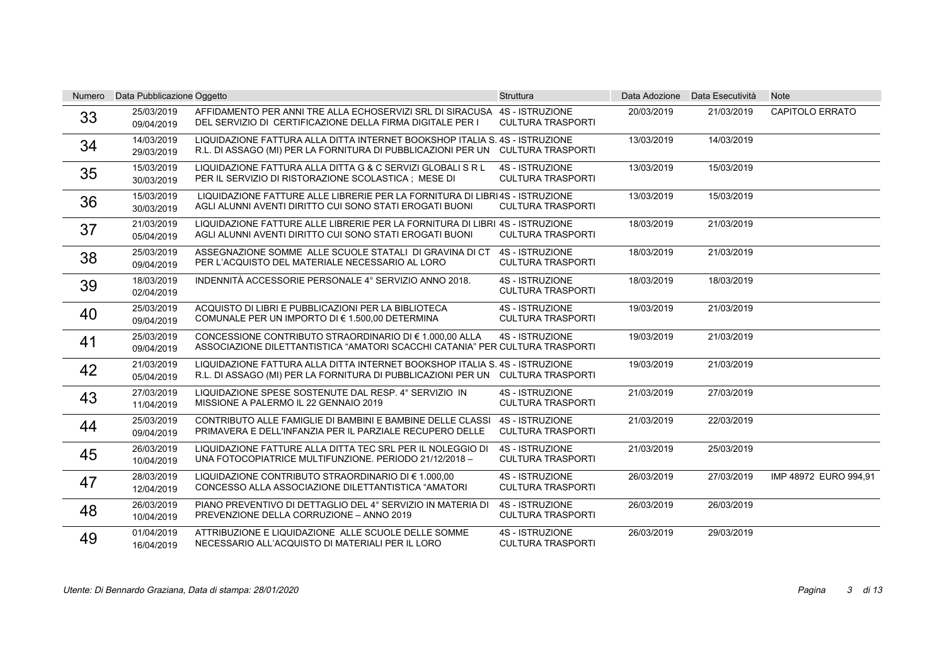| <b>Numero</b> | Data Pubblicazione Oggetto |                                                                                                                                                               | <b>Struttura</b>                                   |            | Data Adozione Data Esecutività | <b>Note</b>            |
|---------------|----------------------------|---------------------------------------------------------------------------------------------------------------------------------------------------------------|----------------------------------------------------|------------|--------------------------------|------------------------|
| 33            | 25/03/2019<br>09/04/2019   | AFFIDAMENTO PER ANNI TRE ALLA ECHOSERVIZI SRL DI SIRACUSA<br>DEL SERVIZIO DI CERTIFICAZIONE DELLA FIRMA DIGITALE PER I                                        | <b>4S - ISTRUZIONE</b><br><b>CULTURA TRASPORTI</b> | 20/03/2019 | 21/03/2019                     | <b>CAPITOLO ERRATO</b> |
| 34            | 14/03/2019<br>29/03/2019   | LIQUIDAZIONE FATTURA ALLA DITTA INTERNET BOOKSHOP ITALIA S. 4S - ISTRUZIONE<br>R.L. DI ASSAGO (MI) PER LA FORNITURA DI PUBBLICAZIONI PER UN CULTURA TRASPORTI |                                                    | 13/03/2019 | 14/03/2019                     |                        |
| 35            | 15/03/2019<br>30/03/2019   | LIQUIDAZIONE FATTURA ALLA DITTA G & C SERVIZI GLOBALI S R L<br>PER IL SERVIZIO DI RISTORAZIONE SCOLASTICA ; MESE DI                                           | <b>4S - ISTRUZIONE</b><br><b>CULTURA TRASPORTI</b> | 13/03/2019 | 15/03/2019                     |                        |
| 36            | 15/03/2019<br>30/03/2019   | LIQUIDAZIONE FATTURE ALLE LIBRERIE PER LA FORNITURA DI LIBRI4S - ISTRUZIONE<br>AGLI ALUNNI AVENTI DIRITTO CUI SONO STATI EROGATI BUONI                        | <b>CULTURA TRASPORTI</b>                           | 13/03/2019 | 15/03/2019                     |                        |
| 37            | 21/03/2019<br>05/04/2019   | LIQUIDAZIONE FATTURE ALLE LIBRERIE PER LA FORNITURA DI LIBRI 4S - ISTRUZIONE<br>AGLI ALUNNI AVENTI DIRITTO CUI SONO STATI EROGATI BUONI                       | <b>CULTURA TRASPORTI</b>                           | 18/03/2019 | 21/03/2019                     |                        |
| 38            | 25/03/2019<br>09/04/2019   | ASSEGNAZIONE SOMME ALLE SCUOLE STATALI DI GRAVINA DI CT<br>PER L'ACQUISTO DEL MATERIALE NECESSARIO AL LORO                                                    | <b>4S - ISTRUZIONE</b><br><b>CULTURA TRASPORTI</b> | 18/03/2019 | 21/03/2019                     |                        |
| 39            | 18/03/2019<br>02/04/2019   | INDENNITÀ ACCESSORIE PERSONALE 4° SERVIZIO ANNO 2018.                                                                                                         | <b>4S - ISTRUZIONE</b><br><b>CULTURA TRASPORTI</b> | 18/03/2019 | 18/03/2019                     |                        |
| 40            | 25/03/2019<br>09/04/2019   | ACQUISTO DI LIBRI E PUBBLICAZIONI PER LA BIBLIOTECA<br>COMUNALE PER UN IMPORTO DI € 1.500,00 DETERMINA                                                        | <b>4S - ISTRUZIONE</b><br><b>CULTURA TRASPORTI</b> | 19/03/2019 | 21/03/2019                     |                        |
| 41            | 25/03/2019<br>09/04/2019   | CONCESSIONE CONTRIBUTO STRAORDINARIO DI € 1.000.00 ALLA<br>ASSOCIAZIONE DILETTANTISTICA "AMATORI SCACCHI CATANIA" PER CULTURA TRASPORTI                       | <b>4S - ISTRUZIONE</b>                             | 19/03/2019 | 21/03/2019                     |                        |
| 42            | 21/03/2019<br>05/04/2019   | LIQUIDAZIONE FATTURA ALLA DITTA INTERNET BOOKSHOP ITALIA S. 4S - ISTRUZIONE<br>R.L. DI ASSAGO (MI) PER LA FORNITURA DI PUBBLICAZIONI PER UN CULTURA TRASPORTI |                                                    | 19/03/2019 | 21/03/2019                     |                        |
| 43            | 27/03/2019<br>11/04/2019   | LIQUIDAZIONE SPESE SOSTENUTE DAL RESP. 4° SERVIZIO IN<br>MISSIONE A PALERMO IL 22 GENNAIO 2019                                                                | <b>4S - ISTRUZIONE</b><br><b>CULTURA TRASPORTI</b> | 21/03/2019 | 27/03/2019                     |                        |
| 44            | 25/03/2019<br>09/04/2019   | CONTRIBUTO ALLE FAMIGLIE DI BAMBINI E BAMBINE DELLE CLASSI<br>PRIMAVERA E DELL'INFANZIA PER IL PARZIALE RECUPERO DELLE                                        | <b>4S - ISTRUZIONE</b><br><b>CULTURA TRASPORTI</b> | 21/03/2019 | 22/03/2019                     |                        |
| 45            | 26/03/2019<br>10/04/2019   | LIQUIDAZIONE FATTURE ALLA DITTA TEC SRL PER IL NOLEGGIO DI<br>UNA FOTOCOPIATRICE MULTIFUNZIONE. PERIODO 21/12/2018 -                                          | <b>4S - ISTRUZIONE</b><br><b>CULTURA TRASPORTI</b> | 21/03/2019 | 25/03/2019                     |                        |
| 47            | 28/03/2019<br>12/04/2019   | LIQUIDAZIONE CONTRIBUTO STRAORDINARIO DI € 1.000.00<br>CONCESSO ALLA ASSOCIAZIONE DILETTANTISTICA "AMATORI                                                    | <b>4S - ISTRUZIONE</b><br><b>CULTURA TRASPORTI</b> | 26/03/2019 | 27/03/2019                     | IMP 48972 EURO 994.91  |
| 48            | 26/03/2019<br>10/04/2019   | PIANO PREVENTIVO DI DETTAGLIO DEL 4° SERVIZIO IN MATERIA DI<br>PREVENZIONE DELLA CORRUZIONE - ANNO 2019                                                       | <b>4S - ISTRUZIONE</b><br><b>CULTURA TRASPORTI</b> | 26/03/2019 | 26/03/2019                     |                        |
| 49            | 01/04/2019<br>16/04/2019   | ATTRIBUZIONE E LIQUIDAZIONE ALLE SCUOLE DELLE SOMME<br>NECESSARIO ALL'ACQUISTO DI MATERIALI PER IL LORO                                                       | <b>4S - ISTRUZIONE</b><br><b>CULTURA TRASPORTI</b> | 26/03/2019 | 29/03/2019                     |                        |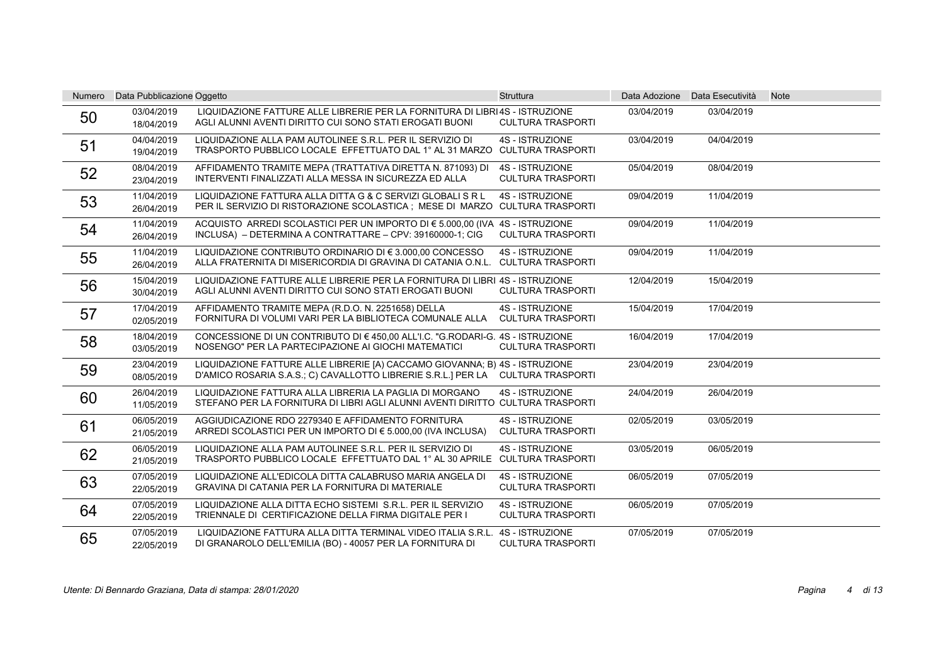| <b>Numero</b> | Data Pubblicazione Oggetto |                                                                                                                                                                | <b>Struttura</b>                                   |            | Data Adozione Data Esecutività | <b>Note</b> |
|---------------|----------------------------|----------------------------------------------------------------------------------------------------------------------------------------------------------------|----------------------------------------------------|------------|--------------------------------|-------------|
| 50            | 03/04/2019<br>18/04/2019   | LIQUIDAZIONE FATTURE ALLE LIBRERIE PER LA FORNITURA DI LIBRI4S - ISTRUZIONE<br>AGLI ALUNNI AVENTI DIRITTO CUI SONO STATI EROGATI BUONI                         | <b>CULTURA TRASPORTI</b>                           | 03/04/2019 | 03/04/2019                     |             |
| 51            | 04/04/2019<br>19/04/2019   | LIQUIDAZIONE ALLA PAM AUTOLINEE S.R.L. PER IL SERVIZIO DI<br>TRASPORTO PUBBLICO LOCALE EFFETTUATO DAL 1° AL 31 MARZO CULTURA TRASPORTI                         | <b>4S - ISTRUZIONE</b>                             | 03/04/2019 | 04/04/2019                     |             |
| 52            | 08/04/2019<br>23/04/2019   | AFFIDAMENTO TRAMITE MEPA (TRATTATIVA DIRETTA N. 871093) DI<br>INTERVENTI FINALIZZATI ALLA MESSA IN SICUREZZA ED ALLA                                           | <b>4S - ISTRUZIONE</b><br><b>CULTURA TRASPORTI</b> | 05/04/2019 | 08/04/2019                     |             |
| 53            | 11/04/2019<br>26/04/2019   | LIQUIDAZIONE FATTURA ALLA DITTA G & C SERVIZI GLOBALI S R L<br>PER IL SERVIZIO DI RISTORAZIONE SCOLASTICA : MESE DI MARZO CULTURA TRASPORTI                    | <b>4S - ISTRUZIONE</b>                             | 09/04/2019 | 11/04/2019                     |             |
| 54            | 11/04/2019<br>26/04/2019   | ACQUISTO ARREDI SCOLASTICI PER UN IMPORTO DI € 5.000.00 (IVA 4S - ISTRUZIONE<br>INCLUSA) - DETERMINA A CONTRATTARE - CPV: 39160000-1; CIG                      | <b>CULTURA TRASPORTI</b>                           | 09/04/2019 | 11/04/2019                     |             |
| 55            | 11/04/2019<br>26/04/2019   | LIQUIDAZIONE CONTRIBUTO ORDINARIO DI € 3.000,00 CONCESSO<br>ALLA FRATERNITA DI MISERICORDIA DI GRAVINA DI CATANIA O.N.L. CULTURA TRASPORTI                     | <b>4S - ISTRUZIONE</b>                             | 09/04/2019 | 11/04/2019                     |             |
| 56            | 15/04/2019<br>30/04/2019   | LIQUIDAZIONE FATTURE ALLE LIBRERIE PER LA FORNITURA DI LIBRI 4S - ISTRUZIONE<br>AGLI ALUNNI AVENTI DIRITTO CUI SONO STATI EROGATI BUONI                        | <b>CULTURA TRASPORTI</b>                           | 12/04/2019 | 15/04/2019                     |             |
| 57            | 17/04/2019<br>02/05/2019   | AFFIDAMENTO TRAMITE MEPA (R.D.O. N. 2251658) DELLA<br>FORNITURA DI VOLUMI VARI PER LA BIBLIOTECA COMUNALE ALLA                                                 | <b>4S - ISTRUZIONE</b><br><b>CULTURA TRASPORTI</b> | 15/04/2019 | 17/04/2019                     |             |
| 58            | 18/04/2019<br>03/05/2019   | CONCESSIONE DI UN CONTRIBUTO DI € 450.00 ALL'I.C. "G.RODARI-G. 4S - ISTRUZIONE<br>NOSENGO" PER LA PARTECIPAZIONE AI GIOCHI MATEMATICI                          | <b>CULTURA TRASPORTI</b>                           | 16/04/2019 | 17/04/2019                     |             |
| 59            | 23/04/2019<br>08/05/2019   | LIQUIDAZIONE FATTURE ALLE LIBRERIE [A) CACCAMO GIOVANNA; B) 4S - ISTRUZIONE<br>D'AMICO ROSARIA S.A.S.; C) CAVALLOTTO LIBRERIE S.R.L.] PER LA CULTURA TRASPORTI |                                                    | 23/04/2019 | 23/04/2019                     |             |
| 60            | 26/04/2019<br>11/05/2019   | LIQUIDAZIONE FATTURA ALLA LIBRERIA LA PAGLIA DI MORGANO<br>STEFANO PER LA FORNITURA DI LIBRI AGLI ALUNNI AVENTI DIRITTO CULTURA TRASPORTI                      | <b>4S - ISTRUZIONE</b>                             | 24/04/2019 | 26/04/2019                     |             |
| 61            | 06/05/2019<br>21/05/2019   | AGGIUDICAZIONE RDO 2279340 E AFFIDAMENTO FORNITURA<br>ARREDI SCOLASTICI PER UN IMPORTO DI € 5.000,00 (IVA INCLUSA)                                             | <b>4S - ISTRUZIONE</b><br><b>CULTURA TRASPORTI</b> | 02/05/2019 | 03/05/2019                     |             |
| 62            | 06/05/2019<br>21/05/2019   | LIQUIDAZIONE ALLA PAM AUTOLINEE S.R.L. PER IL SERVIZIO DI<br>TRASPORTO PUBBLICO LOCALE EFFETTUATO DAL 1º AL 30 APRILE CULTURA TRASPORTI                        | <b>4S - ISTRUZIONE</b>                             | 03/05/2019 | 06/05/2019                     |             |
| 63            | 07/05/2019<br>22/05/2019   | LIQUIDAZIONE ALL'EDICOLA DITTA CALABRUSO MARIA ANGELA DI<br>GRAVINA DI CATANIA PER LA FORNITURA DI MATERIALE                                                   | <b>4S - ISTRUZIONE</b><br><b>CULTURA TRASPORTI</b> | 06/05/2019 | 07/05/2019                     |             |
| 64            | 07/05/2019<br>22/05/2019   | LIQUIDAZIONE ALLA DITTA ECHO SISTEMI S.R.L. PER IL SERVIZIO<br>TRIENNALE DI CERTIFICAZIONE DELLA FIRMA DIGITALE PER I                                          | <b>4S - ISTRUZIONE</b><br><b>CULTURA TRASPORTI</b> | 06/05/2019 | 07/05/2019                     |             |
| 65            | 07/05/2019<br>22/05/2019   | LIQUIDAZIONE FATTURA ALLA DITTA TERMINAL VIDEO ITALIA S.R.L.<br>DI GRANAROLO DELL'EMILIA (BO) - 40057 PER LA FORNITURA DI                                      | <b>4S - ISTRUZIONE</b><br><b>CULTURA TRASPORTI</b> | 07/05/2019 | 07/05/2019                     |             |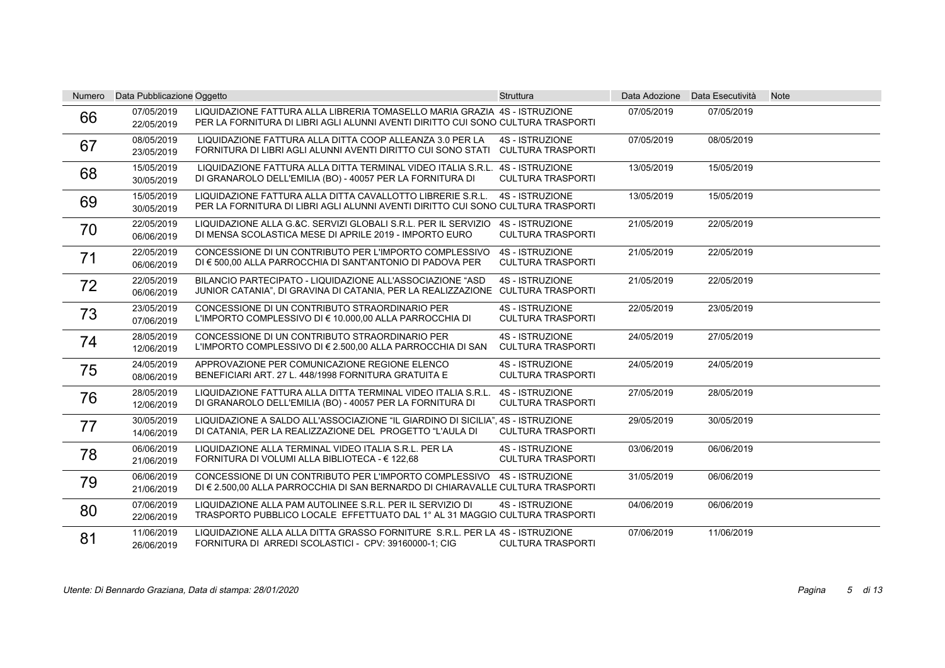| Numero | Data Pubblicazione Oggetto |                                                                                                                                                              | <b>Struttura</b>                                   |            | Data Adozione Data Esecutività | <b>Note</b> |
|--------|----------------------------|--------------------------------------------------------------------------------------------------------------------------------------------------------------|----------------------------------------------------|------------|--------------------------------|-------------|
| 66     | 07/05/2019<br>22/05/2019   | LIQUIDAZIONE FATTURA ALLA LIBRERIA TOMASELLO MARIA GRAZIA 4S - ISTRUZIONE<br>PER LA FORNITURA DI LIBRI AGLI ALUNNI AVENTI DIRITTO CUI SONO CULTURA TRASPORTI |                                                    | 07/05/2019 | 07/05/2019                     |             |
| 67     | 08/05/2019<br>23/05/2019   | LIQUIDAZIONE FATTURA ALLA DITTA COOP ALLEANZA 3.0 PER LA<br>FORNITURA DI LIBRI AGLI ALUNNI AVENTI DIRITTO CUI SONO STATI CULTURA TRASPORTI                   | <b>4S - ISTRUZIONE</b>                             | 07/05/2019 | 08/05/2019                     |             |
| 68     | 15/05/2019<br>30/05/2019   | LIQUIDAZIONE FATTURA ALLA DITTA TERMINAL VIDEO ITALIA S.R.L.<br>DI GRANAROLO DELL'EMILIA (BO) - 40057 PER LA FORNITURA DI                                    | <b>4S - ISTRUZIONE</b><br><b>CULTURA TRASPORTI</b> | 13/05/2019 | 15/05/2019                     |             |
| 69     | 15/05/2019<br>30/05/2019   | LIQUIDAZIONE FATTURA ALLA DITTA CAVALLOTTO LIBRERIE S.R.L.<br>PER LA FORNITURA DI LIBRI AGLI ALUNNI AVENTI DIRITTO CUI SONO CULTURA TRASPORTI                | <b>4S - ISTRUZIONE</b>                             | 13/05/2019 | 15/05/2019                     |             |
| 70     | 22/05/2019<br>06/06/2019   | LIQUIDAZIONE ALLA G.&C. SERVIZI GLOBALI S.R.L. PER IL SERVIZIO<br>DI MENSA SCOLASTICA MESE DI APRILE 2019 - IMPORTO EURO                                     | 4S - ISTRUZIONE<br><b>CULTURA TRASPORTI</b>        | 21/05/2019 | 22/05/2019                     |             |
| 71     | 22/05/2019<br>06/06/2019   | CONCESSIONE DI UN CONTRIBUTO PER L'IMPORTO COMPLESSIVO<br>DI € 500,00 ALLA PARROCCHIA DI SANT'ANTONIO DI PADOVA PER                                          | <b>4S - ISTRUZIONE</b><br><b>CULTURA TRASPORTI</b> | 21/05/2019 | 22/05/2019                     |             |
| 72     | 22/05/2019<br>06/06/2019   | BILANCIO PARTECIPATO - LIQUIDAZIONE ALL'ASSOCIAZIONE "ASD<br>JUNIOR CATANIA", DI GRAVINA DI CATANIA, PER LA REALIZZAZIONE CULTURA TRASPORTI                  | <b>4S - ISTRUZIONE</b>                             | 21/05/2019 | 22/05/2019                     |             |
| 73     | 23/05/2019<br>07/06/2019   | CONCESSIONE DI UN CONTRIBUTO STRAORDINARIO PER<br>L'IMPORTO COMPLESSIVO DI € 10.000,00 ALLA PARROCCHIA DI                                                    | <b>4S - ISTRUZIONE</b><br><b>CULTURA TRASPORTI</b> | 22/05/2019 | 23/05/2019                     |             |
| 74     | 28/05/2019<br>12/06/2019   | CONCESSIONE DI UN CONTRIBUTO STRAORDINARIO PER<br>L'IMPORTO COMPLESSIVO DI € 2.500,00 ALLA PARROCCHIA DI SAN                                                 | <b>4S - ISTRUZIONE</b><br><b>CULTURA TRASPORTI</b> | 24/05/2019 | 27/05/2019                     |             |
| 75     | 24/05/2019<br>08/06/2019   | APPROVAZIONE PER COMUNICAZIONE REGIONE ELENCO<br>BENEFICIARI ART. 27 L. 448/1998 FORNITURA GRATUITA E                                                        | <b>4S - ISTRUZIONE</b><br><b>CULTURA TRASPORTI</b> | 24/05/2019 | 24/05/2019                     |             |
| 76     | 28/05/2019<br>12/06/2019   | LIQUIDAZIONE FATTURA ALLA DITTA TERMINAL VIDEO ITALIA S.R.L.<br>DI GRANAROLO DELL'EMILIA (BO) - 40057 PER LA FORNITURA DI                                    | <b>4S - ISTRUZIONE</b><br><b>CULTURA TRASPORTI</b> | 27/05/2019 | 28/05/2019                     |             |
| 77     | 30/05/2019<br>14/06/2019   | LIQUIDAZIONE A SALDO ALL'ASSOCIAZIONE "IL GIARDINO DI SICILIA", 4S - ISTRUZIONE<br>DI CATANIA, PER LA REALIZZAZIONE DEL PROGETTO "L'AULA DI                  | <b>CULTURA TRASPORTI</b>                           | 29/05/2019 | 30/05/2019                     |             |
| 78     | 06/06/2019<br>21/06/2019   | LIQUIDAZIONE ALLA TERMINAL VIDEO ITALIA S.R.L. PER LA<br>FORNITURA DI VOLUMI ALLA BIBLIOTECA - € 122,68                                                      | <b>4S - ISTRUZIONE</b><br><b>CULTURA TRASPORTI</b> | 03/06/2019 | 06/06/2019                     |             |
| 79     | 06/06/2019<br>21/06/2019   | CONCESSIONE DI UN CONTRIBUTO PER L'IMPORTO COMPLESSIVO 4S - ISTRUZIONE<br>DI € 2.500,00 ALLA PARROCCHIA DI SAN BERNARDO DI CHIARAVALLE CULTURA TRASPORTI     |                                                    | 31/05/2019 | 06/06/2019                     |             |
| 80     | 07/06/2019<br>22/06/2019   | LIQUIDAZIONE ALLA PAM AUTOLINEE S.R.L. PER IL SERVIZIO DI<br>TRASPORTO PUBBLICO LOCALE EFFETTUATO DAL 1° AL 31 MAGGIO CULTURA TRASPORTI                      | <b>4S - ISTRUZIONE</b>                             | 04/06/2019 | 06/06/2019                     |             |
| 81     | 11/06/2019<br>26/06/2019   | LIQUIDAZIONE ALLA ALLA DITTA GRASSO FORNITURE S.R.L. PER LA 4S - ISTRUZIONE<br>FORNITURA DI ARREDI SCOLASTICI - CPV: 39160000-1; CIG                         | <b>CULTURA TRASPORTI</b>                           | 07/06/2019 | 11/06/2019                     |             |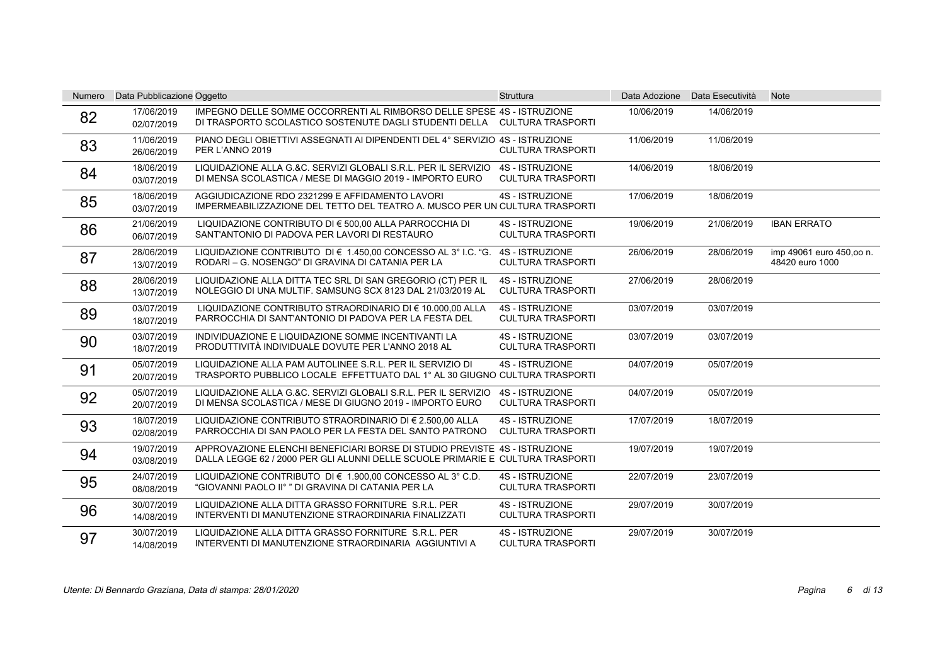| <b>Numero</b> | Data Pubblicazione Oggetto |                                                                                                                                                             | <b>Struttura</b>                                   |            | Data Adozione Data Esecutività | <b>Note</b>                                 |
|---------------|----------------------------|-------------------------------------------------------------------------------------------------------------------------------------------------------------|----------------------------------------------------|------------|--------------------------------|---------------------------------------------|
| 82            | 17/06/2019<br>02/07/2019   | IMPEGNO DELLE SOMME OCCORRENTI AL RIMBORSO DELLE SPESE 4S - ISTRUZIONE<br>DI TRASPORTO SCOLASTICO SOSTENUTE DAGLI STUDENTI DELLA CULTURA TRASPORTI          |                                                    | 10/06/2019 | 14/06/2019                     |                                             |
| 83            | 11/06/2019<br>26/06/2019   | PIANO DEGLI OBIETTIVI ASSEGNATI AI DIPENDENTI DEL 4° SERVIZIO 4S - ISTRUZIONE<br>PER L'ANNO 2019                                                            | <b>CULTURA TRASPORTI</b>                           | 11/06/2019 | 11/06/2019                     |                                             |
| 84            | 18/06/2019<br>03/07/2019   | LIQUIDAZIONE ALLA G.&C. SERVIZI GLOBALI S.R.L. PER IL SERVIZIO<br>DI MENSA SCOLASTICA / MESE DI MAGGIO 2019 - IMPORTO EURO                                  | <b>4S - ISTRUZIONE</b><br><b>CULTURA TRASPORTI</b> | 14/06/2019 | 18/06/2019                     |                                             |
| 85            | 18/06/2019<br>03/07/2019   | AGGIUDICAZIONE RDO 2321299 E AFFIDAMENTO LAVORI<br>IMPERMEABILIZZAZIONE DEL TETTO DEL TEATRO A. MUSCO PER UN CULTURA TRASPORTI                              | <b>4S - ISTRUZIONE</b>                             | 17/06/2019 | 18/06/2019                     |                                             |
| 86            | 21/06/2019<br>06/07/2019   | LIQUIDAZIONE CONTRIBUTO DI € 500.00 ALLA PARROCCHIA DI<br>SANT'ANTONIO DI PADOVA PER LAVORI DI RESTAURO                                                     | <b>4S - ISTRUZIONE</b><br><b>CULTURA TRASPORTI</b> | 19/06/2019 | 21/06/2019                     | <b>IBAN ERRATO</b>                          |
| 87            | 28/06/2019<br>13/07/2019   | LIQUIDAZIONE CONTRIBUTO DI € 1.450.00 CONCESSO AL 3° I.C. "G.<br>RODARI - G. NOSENGO" DI GRAVINA DI CATANIA PER LA                                          | <b>4S - ISTRUZIONE</b><br><b>CULTURA TRASPORTI</b> | 26/06/2019 | 28/06/2019                     | imp 49061 euro 450,00 n.<br>48420 euro 1000 |
| 88            | 28/06/2019<br>13/07/2019   | LIQUIDAZIONE ALLA DITTA TEC SRL DI SAN GREGORIO (CT) PER IL<br>NOLEGGIO DI UNA MULTIF. SAMSUNG SCX 8123 DAL 21/03/2019 AL                                   | <b>4S - ISTRUZIONE</b><br><b>CULTURA TRASPORTI</b> | 27/06/2019 | 28/06/2019                     |                                             |
| 89            | 03/07/2019<br>18/07/2019   | LIQUIDAZIONE CONTRIBUTO STRAORDINARIO DI € 10.000.00 ALLA<br>PARROCCHIA DI SANT'ANTONIO DI PADOVA PER LA FESTA DEL                                          | <b>4S - ISTRUZIONE</b><br><b>CULTURA TRASPORTI</b> | 03/07/2019 | 03/07/2019                     |                                             |
| 90            | 03/07/2019<br>18/07/2019   | INDIVIDUAZIONE E LIQUIDAZIONE SOMME INCENTIVANTI LA<br>PRODUTTIVITÀ INDIVIDUALE DOVUTE PER L'ANNO 2018 AL                                                   | <b>4S - ISTRUZIONE</b><br><b>CULTURA TRASPORTI</b> | 03/07/2019 | 03/07/2019                     |                                             |
| 91            | 05/07/2019<br>20/07/2019   | LIQUIDAZIONE ALLA PAM AUTOLINEE S.R.L. PER IL SERVIZIO DI<br>TRASPORTO PUBBLICO LOCALE EFFETTUATO DAL 1º AL 30 GIUGNO CULTURA TRASPORTI                     | <b>4S - ISTRUZIONE</b>                             | 04/07/2019 | 05/07/2019                     |                                             |
| 92            | 05/07/2019<br>20/07/2019   | LIQUIDAZIONE ALLA G.&C. SERVIZI GLOBALI S.R.L. PER IL SERVIZIO<br>DI MENSA SCOLASTICA / MESE DI GIUGNO 2019 - IMPORTO EURO                                  | <b>4S - ISTRUZIONE</b><br><b>CULTURA TRASPORTI</b> | 04/07/2019 | 05/07/2019                     |                                             |
| 93            | 18/07/2019<br>02/08/2019   | LIQUIDAZIONE CONTRIBUTO STRAORDINARIO DI € 2.500,00 ALLA<br>PARROCCHIA DI SAN PAOLO PER LA FESTA DEL SANTO PATRONO                                          | <b>4S - ISTRUZIONE</b><br><b>CULTURA TRASPORTI</b> | 17/07/2019 | 18/07/2019                     |                                             |
| 94            | 19/07/2019<br>03/08/2019   | APPROVAZIONE ELENCHI BENEFICIARI BORSE DI STUDIO PREVISTE 4S - ISTRUZIONE<br>DALLA LEGGE 62 / 2000 PER GLI ALUNNI DELLE SCUOLE PRIMARIE E CULTURA TRASPORTI |                                                    | 19/07/2019 | 19/07/2019                     |                                             |
| 95            | 24/07/2019<br>08/08/2019   | LIQUIDAZIONE CONTRIBUTO DI € 1.900,00 CONCESSO AL 3° C.D.<br>"GIOVANNI PAOLO II° " DI GRAVINA DI CATANIA PER LA                                             | <b>4S - ISTRUZIONE</b><br><b>CULTURA TRASPORTI</b> | 22/07/2019 | 23/07/2019                     |                                             |
| 96            | 30/07/2019<br>14/08/2019   | LIQUIDAZIONE ALLA DITTA GRASSO FORNITURE S.R.L. PER<br>INTERVENTI DI MANUTENZIONE STRAORDINARIA FINALIZZATI                                                 | <b>4S - ISTRUZIONE</b><br><b>CULTURA TRASPORTI</b> | 29/07/2019 | 30/07/2019                     |                                             |
| 97            | 30/07/2019<br>14/08/2019   | LIQUIDAZIONE ALLA DITTA GRASSO FORNITURE S.R.L. PER<br>INTERVENTI DI MANUTENZIONE STRAORDINARIA AGGIUNTIVI A                                                | <b>4S - ISTRUZIONE</b><br><b>CULTURA TRASPORTI</b> | 29/07/2019 | 30/07/2019                     |                                             |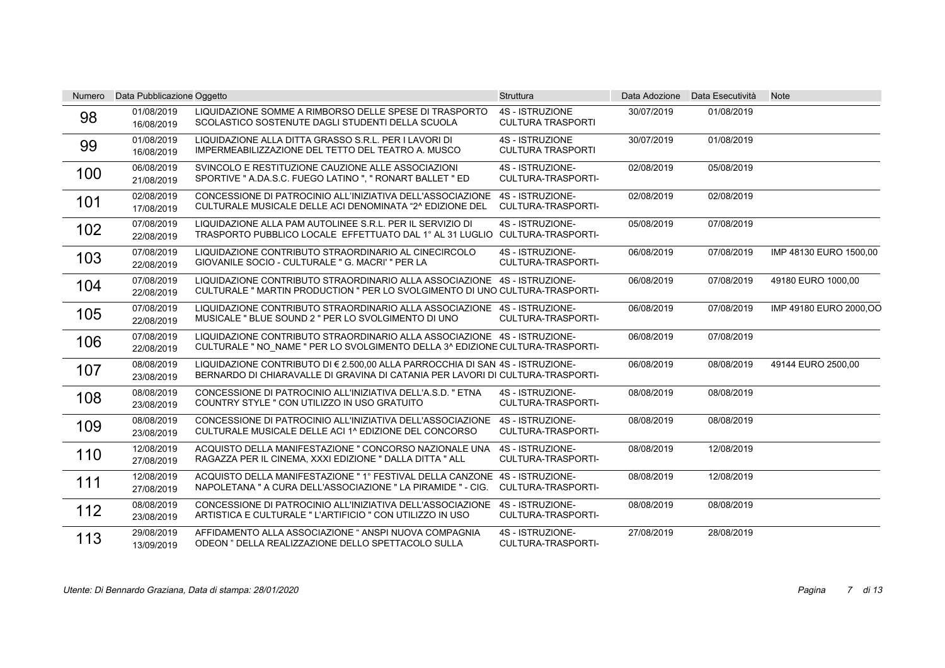| <b>Numero</b> | Data Pubblicazione Oggetto |                                                                                                                                                                 | Struttura                                          | Data Adozione | Data Esecutività | <b>Note</b>             |
|---------------|----------------------------|-----------------------------------------------------------------------------------------------------------------------------------------------------------------|----------------------------------------------------|---------------|------------------|-------------------------|
| 98            | 01/08/2019<br>16/08/2019   | LIQUIDAZIONE SOMME A RIMBORSO DELLE SPESE DI TRASPORTO<br>SCOLASTICO SOSTENUTE DAGLI STUDENTI DELLA SCUOLA                                                      | <b>4S - ISTRUZIONE</b><br><b>CULTURA TRASPORTI</b> | 30/07/2019    | 01/08/2019       |                         |
| 99            | 01/08/2019<br>16/08/2019   | LIQUIDAZIONE ALLA DITTA GRASSO S.R.L. PER I LAVORI DI<br>IMPERMEABILIZZAZIONE DEL TETTO DEL TEATRO A. MUSCO                                                     | <b>4S - ISTRUZIONE</b><br><b>CULTURA TRASPORTI</b> | 30/07/2019    | 01/08/2019       |                         |
| 100           | 06/08/2019<br>21/08/2019   | SVINCOLO E RESTITUZIONE CAUZIONE ALLE ASSOCIAZIONI<br>SPORTIVE " A.DA.S.C. FUEGO LATINO ", " RONART BALLET " ED                                                 | 4S - ISTRUZIONE-<br>CULTURA-TRASPORTI-             | 02/08/2019    | 05/08/2019       |                         |
| 101           | 02/08/2019<br>17/08/2019   | CONCESSIONE DI PATROCINIO ALL'INIZIATIVA DELL'ASSOCIAZIONE<br>CULTURALE MUSICALE DELLE ACI DENOMINATA "2^ EDIZIONE DEL                                          | 4S - ISTRUZIONE-<br>CULTURA-TRASPORTI-             | 02/08/2019    | 02/08/2019       |                         |
| 102           | 07/08/2019<br>22/08/2019   | LIQUIDAZIONE ALLA PAM AUTOLINEE S.R.L. PER IL SERVIZIO DI<br>TRASPORTO PUBBLICO LOCALE EFFETTUATO DAL 1° AL 31 LUGLIO CULTURA-TRASPORTI-                        | 4S - ISTRUZIONE-                                   | 05/08/2019    | 07/08/2019       |                         |
| 103           | 07/08/2019<br>22/08/2019   | LIQUIDAZIONE CONTRIBUTO STRAORDINARIO AL CINECIRCOLO<br>GIOVANILE SOCIO - CULTURALE " G. MACRI' " PER LA                                                        | 4S - ISTRUZIONE-<br>CULTURA-TRASPORTI-             | 06/08/2019    | 07/08/2019       | IMP 48130 EURO 1500,00  |
| 104           | 07/08/2019<br>22/08/2019   | LIQUIDAZIONE CONTRIBUTO STRAORDINARIO ALLA ASSOCIAZIONE 4S - ISTRUZIONE-<br>CULTURALE " MARTIN PRODUCTION " PER LO SVOLGIMENTO DI UNO CULTURA-TRASPORTI-        |                                                    | 06/08/2019    | 07/08/2019       | 49180 EURO 1000,00      |
| 105           | 07/08/2019<br>22/08/2019   | LIQUIDAZIONE CONTRIBUTO STRAORDINARIO ALLA ASSOCIAZIONE 4S - ISTRUZIONE-<br>MUSICALE " BLUE SOUND 2 " PER LO SVOLGIMENTO DI UNO                                 | CULTURA-TRASPORTI-                                 | 06/08/2019    | 07/08/2019       | IMP 49180 EURO 2000, OO |
| 106           | 07/08/2019<br>22/08/2019   | LIQUIDAZIONE CONTRIBUTO STRAORDINARIO ALLA ASSOCIAZIONE 4S - ISTRUZIONE-<br>CULTURALE " NO_NAME " PER LO SVOLGIMENTO DELLA 3^ EDIZIONE CULTURA-TRASPORTI-       |                                                    | 06/08/2019    | 07/08/2019       |                         |
| 107           | 08/08/2019<br>23/08/2019   | LIQUIDAZIONE CONTRIBUTO DI € 2.500.00 ALLA PARROCCHIA DI SAN 4S - ISTRUZIONE-<br>BERNARDO DI CHIARAVALLE DI GRAVINA DI CATANIA PER LAVORI DI CULTURA-TRASPORTI- |                                                    | 06/08/2019    | 08/08/2019       | 49144 EURO 2500,00      |
| 108           | 08/08/2019<br>23/08/2019   | CONCESSIONE DI PATROCINIO ALL'INIZIATIVA DELL'A.S.D. " ETNA<br>COUNTRY STYLE " CON UTILIZZO IN USO GRATUITO                                                     | 4S - ISTRUZIONE-<br><b>CULTURA-TRASPORTI-</b>      | 08/08/2019    | 08/08/2019       |                         |
| 109           | 08/08/2019<br>23/08/2019   | CONCESSIONE DI PATROCINIO ALL'INIZIATIVA DELL'ASSOCIAZIONE<br>CULTURALE MUSICALE DELLE ACI 1^ EDIZIONE DEL CONCORSO                                             | 4S - ISTRUZIONE-<br><b>CULTURA-TRASPORTI-</b>      | 08/08/2019    | 08/08/2019       |                         |
| 110           | 12/08/2019<br>27/08/2019   | ACQUISTO DELLA MANIFESTAZIONE " CONCORSO NAZIONALE UNA<br>RAGAZZA PER IL CINEMA, XXXI EDIZIONE " DALLA DITTA " ALL                                              | 4S - ISTRUZIONE-<br><b>CULTURA-TRASPORTI-</b>      | 08/08/2019    | 12/08/2019       |                         |
| 111           | 12/08/2019<br>27/08/2019   | ACQUISTO DELLA MANIFESTAZIONE "1° FESTIVAL DELLA CANZONE 4S - ISTRUZIONE-<br>NAPOLETANA " A CURA DELL'ASSOCIAZIONE " LA PIRAMIDE " - CIG.                       | <b>CULTURA-TRASPORTI-</b>                          | 08/08/2019    | 12/08/2019       |                         |
| 112           | 08/08/2019<br>23/08/2019   | CONCESSIONE DI PATROCINIO ALL'INIZIATIVA DELL'ASSOCIAZIONE<br>ARTISTICA E CULTURALE " L'ARTIFICIO " CON UTILIZZO IN USO                                         | 4S - ISTRUZIONE-<br>CULTURA-TRASPORTI-             | 08/08/2019    | 08/08/2019       |                         |
| 113           | 29/08/2019<br>13/09/2019   | AFFIDAMENTO ALLA ASSOCIAZIONE " ANSPI NUOVA COMPAGNIA<br>ODEON " DELLA REALIZZAZIONE DELLO SPETTACOLO SULLA                                                     | 4S - ISTRUZIONE-<br>CULTURA-TRASPORTI-             | 27/08/2019    | 28/08/2019       |                         |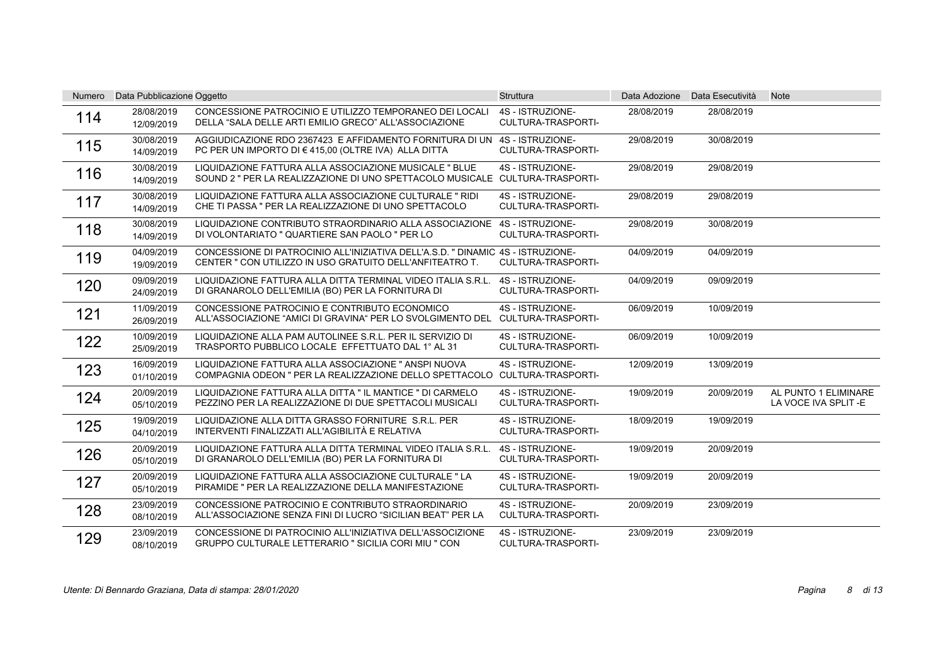| <b>Numero</b> | Data Pubblicazione Oggetto |                                                                                                                                             | <b>Struttura</b>                              |            | Data Adozione Data Esecutività | <b>Note</b>                                 |
|---------------|----------------------------|---------------------------------------------------------------------------------------------------------------------------------------------|-----------------------------------------------|------------|--------------------------------|---------------------------------------------|
| 114           | 28/08/2019<br>12/09/2019   | CONCESSIONE PATROCINIO E UTILIZZO TEMPORANEO DEI LOCALI<br>DELLA "SALA DELLE ARTI EMILIO GRECO" ALL'ASSOCIAZIONE                            | 4S - ISTRUZIONE-<br>CULTURA-TRASPORTI-        | 28/08/2019 | 28/08/2019                     |                                             |
| 115           | 30/08/2019<br>14/09/2019   | AGGIUDICAZIONE RDO 2367423 E AFFIDAMENTO FORNITURA DI UN 4S-ISTRUZIONE-<br>PC PER UN IMPORTO DI € 415,00 (OLTRE IVA) ALLA DITTA             | <b>CULTURA-TRASPORTI-</b>                     | 29/08/2019 | 30/08/2019                     |                                             |
| 116           | 30/08/2019<br>14/09/2019   | LIQUIDAZIONE FATTURA ALLA ASSOCIAZIONE MUSICALE " BLUE<br>SOUND 2 " PER LA REALIZZAZIONE DI UNO SPETTACOLO MUSICALE CULTURA-TRASPORTI-      | 4S - ISTRUZIONE-                              | 29/08/2019 | 29/08/2019                     |                                             |
| 117           | 30/08/2019<br>14/09/2019   | LIQUIDAZIONE FATTURA ALLA ASSOCIAZIONE CULTURALE "RIDI<br>CHE TI PASSA " PER LA REALIZZAZIONE DI UNO SPETTACOLO                             | 4S - ISTRUZIONE-<br>CULTURA-TRASPORTI-        | 29/08/2019 | 29/08/2019                     |                                             |
| 118           | 30/08/2019<br>14/09/2019   | LIQUIDAZIONE CONTRIBUTO STRAORDINARIO ALLA ASSOCIAZIONE<br>DI VOLONTARIATO " QUARTIERE SAN PAOLO " PER LO                                   | 4S - ISTRUZIONE-<br>CULTURA-TRASPORTI-        | 29/08/2019 | 30/08/2019                     |                                             |
| 119           | 04/09/2019<br>19/09/2019   | CONCESSIONE DI PATROCINIO ALL'INIZIATIVA DELL'A.S.D. " DINAMIC 4S - ISTRUZIONE-<br>CENTER " CON UTILIZZO IN USO GRATUITO DELL'ANFITEATRO T. | CULTURA-TRASPORTI-                            | 04/09/2019 | 04/09/2019                     |                                             |
| 120           | 09/09/2019<br>24/09/2019   | LIQUIDAZIONE FATTURA ALLA DITTA TERMINAL VIDEO ITALIA S.R.L.<br>DI GRANAROLO DELL'EMILIA (BO) PER LA FORNITURA DI                           | 4S - ISTRUZIONE-<br><b>CULTURA-TRASPORTI-</b> | 04/09/2019 | 09/09/2019                     |                                             |
| 121           | 11/09/2019<br>26/09/2019   | CONCESSIONE PATROCINIO E CONTRIBUTO ECONOMICO<br>ALL'ASSOCIAZIONE "AMICI DI GRAVINA" PER LO SVOLGIMENTO DEL CULTURA-TRASPORTI-              | 4S - ISTRUZIONE-                              | 06/09/2019 | 10/09/2019                     |                                             |
| 122           | 10/09/2019<br>25/09/2019   | LIQUIDAZIONE ALLA PAM AUTOLINEE S.R.L. PER IL SERVIZIO DI<br>TRASPORTO PUBBLICO LOCALE EFFETTUATO DAL 1° AL 31                              | 4S - ISTRUZIONE-<br><b>CULTURA-TRASPORTI-</b> | 06/09/2019 | 10/09/2019                     |                                             |
| 123           | 16/09/2019<br>01/10/2019   | LIQUIDAZIONE FATTURA ALLA ASSOCIAZIONE " ANSPI NUOVA<br>COMPAGNIA ODEON " PER LA REALIZZAZIONE DELLO SPETTACOLO CULTURA-TRASPORTI-          | 4S - ISTRUZIONE-                              | 12/09/2019 | 13/09/2019                     |                                             |
| 124           | 20/09/2019<br>05/10/2019   | LIQUIDAZIONE FATTURA ALLA DITTA " IL MANTICE " DI CARMELO<br>PEZZINO PER LA REALIZZAZIONE DI DUE SPETTACOLI MUSICALI                        | 4S - ISTRUZIONE-<br>CULTURA-TRASPORTI-        | 19/09/2019 | 20/09/2019                     | AL PUNTO 1 ELIMINARE<br>LA VOCE IVA SPLIT-E |
| 125           | 19/09/2019<br>04/10/2019   | LIQUIDAZIONE ALLA DITTA GRASSO FORNITURE S.R.L. PER<br>INTERVENTI FINALIZZATI ALL'AGIBILITÀ E RELATIVA                                      | 4S - ISTRUZIONE-<br><b>CULTURA-TRASPORTI-</b> | 18/09/2019 | 19/09/2019                     |                                             |
| 126           | 20/09/2019<br>05/10/2019   | LIQUIDAZIONE FATTURA ALLA DITTA TERMINAL VIDEO ITALIA S.R.L.<br>DI GRANAROLO DELL'EMILIA (BO) PER LA FORNITURA DI                           | 4S - ISTRUZIONE-<br><b>CULTURA-TRASPORTI-</b> | 19/09/2019 | 20/09/2019                     |                                             |
| 127           | 20/09/2019<br>05/10/2019   | LIQUIDAZIONE FATTURA ALLA ASSOCIAZIONE CULTURALE "LA<br>PIRAMIDE " PER LA REALIZZAZIONE DELLA MANIFESTAZIONE                                | 4S - ISTRUZIONE-<br><b>CULTURA-TRASPORTI-</b> | 19/09/2019 | 20/09/2019                     |                                             |
| 128           | 23/09/2019<br>08/10/2019   | CONCESSIONE PATROCINIO E CONTRIBUTO STRAORDINARIO<br>ALL'ASSOCIAZIONE SENZA FINI DI LUCRO "SICILIAN BEAT" PER LA                            | 4S - ISTRUZIONE-<br>CULTURA-TRASPORTI-        | 20/09/2019 | 23/09/2019                     |                                             |
| 129           | 23/09/2019<br>08/10/2019   | CONCESSIONE DI PATROCINIO ALL'INIZIATIVA DELL'ASSOCIZIONE<br>GRUPPO CULTURALE LETTERARIO " SICILIA CORI MIU " CON                           | 4S - ISTRUZIONE-<br>CULTURA-TRASPORTI-        | 23/09/2019 | 23/09/2019                     |                                             |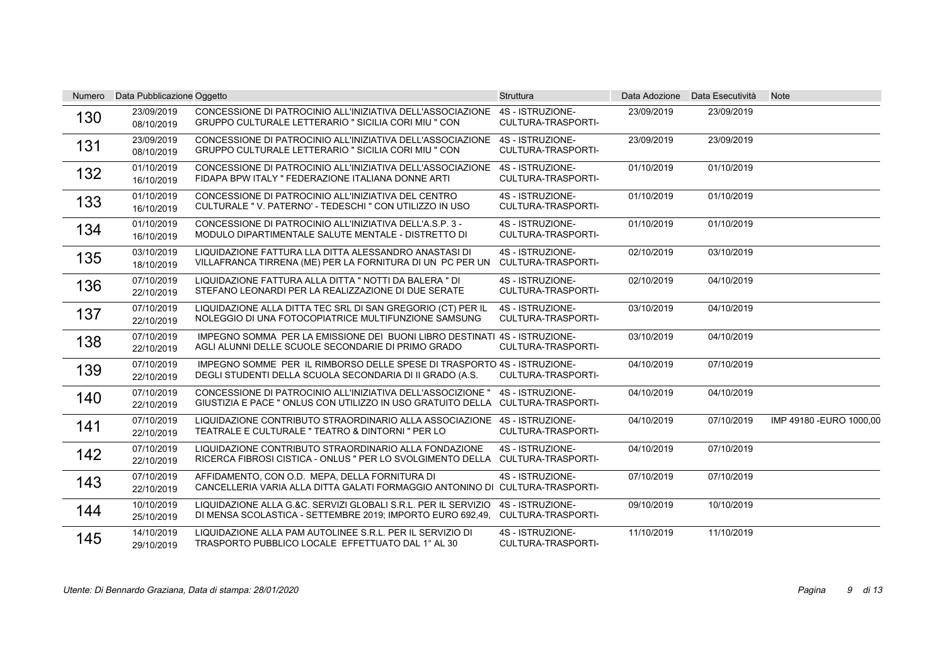| <b>Numero</b> | Data Pubblicazione Oggetto |                                                                                                                                                 | <b>Struttura</b>                              | Data Adozione | Data Esecutività | <b>Note</b>              |
|---------------|----------------------------|-------------------------------------------------------------------------------------------------------------------------------------------------|-----------------------------------------------|---------------|------------------|--------------------------|
| 130           | 23/09/2019<br>08/10/2019   | CONCESSIONE DI PATROCINIO ALL'INIZIATIVA DELL'ASSOCIAZIONE<br>GRUPPO CULTURALE LETTERARIO " SICILIA CORI MIU " CON                              | 4S - ISTRUZIONE-<br>CULTURA-TRASPORTI-        | 23/09/2019    | 23/09/2019       |                          |
| 131           | 23/09/2019<br>08/10/2019   | CONCESSIONE DI PATROCINIO ALL'INIZIATIVA DELL'ASSOCIAZIONE<br>GRUPPO CULTURALE LETTERARIO " SICILIA CORI MIU " CON                              | 4S - ISTRUZIONE-<br><b>CULTURA-TRASPORTI-</b> | 23/09/2019    | 23/09/2019       |                          |
| 132           | 01/10/2019<br>16/10/2019   | CONCESSIONE DI PATROCINIO ALL'INIZIATIVA DELL'ASSOCIAZIONE<br>FIDAPA BPW ITALY " FEDERAZIONE ITALIANA DONNE ARTI                                | 4S - ISTRUZIONE-<br><b>CULTURA-TRASPORTI-</b> | 01/10/2019    | 01/10/2019       |                          |
| 133           | 01/10/2019<br>16/10/2019   | CONCESSIONE DI PATROCINIO ALL'INIZIATIVA DEL CENTRO<br>CULTURALE "V. PATERNO' - TEDESCHI " CON UTILIZZO IN USO                                  | 4S - ISTRUZIONE-<br>CULTURA-TRASPORTI-        | 01/10/2019    | 01/10/2019       |                          |
| 134           | 01/10/2019<br>16/10/2019   | CONCESSIONE DI PATROCINIO ALL'INIZIATIVA DELL'A.S.P. 3 -<br>MODULO DIPARTIMENTALE SALUTE MENTALE - DISTRETTO DI                                 | 4S - ISTRUZIONE-<br>CULTURA-TRASPORTI-        | 01/10/2019    | 01/10/2019       |                          |
| 135           | 03/10/2019<br>18/10/2019   | LIQUIDAZIONE FATTURA LLA DITTA ALESSANDRO ANASTASI DI<br>VILLAFRANCA TIRRENA (ME) PER LA FORNITURA DI UN PC PER UN                              | 4S - ISTRUZIONE-<br>CULTURA-TRASPORTI-        | 02/10/2019    | 03/10/2019       |                          |
| 136           | 07/10/2019<br>22/10/2019   | LIQUIDAZIONE FATTURA ALLA DITTA " NOTTI DA BALERA " DI<br>STEFANO LEONARDI PER LA REALIZZAZIONE DI DUE SERATE                                   | 4S - ISTRUZIONE-<br>CULTURA-TRASPORTI-        | 02/10/2019    | 04/10/2019       |                          |
| 137           | 07/10/2019<br>22/10/2019   | LIQUIDAZIONE ALLA DITTA TEC SRL DI SAN GREGORIO (CT) PER IL<br>NOLEGGIO DI UNA FOTOCOPIATRICE MULTIFUNZIONE SAMSUNG                             | 4S - ISTRUZIONE-<br>CULTURA-TRASPORTI-        | 03/10/2019    | 04/10/2019       |                          |
| 138           | 07/10/2019<br>22/10/2019   | IMPEGNO SOMMA PER LA EMISSIONE DEI BUONI LIBRO DESTINATI 4S - ISTRUZIONE-<br>AGLI ALUNNI DELLE SCUOLE SECONDARIE DI PRIMO GRADO                 | <b>CULTURA-TRASPORTI-</b>                     | 03/10/2019    | 04/10/2019       |                          |
| 139           | 07/10/2019<br>22/10/2019   | IMPEGNO SOMME PER IL RIMBORSO DELLE SPESE DI TRASPORTO 4S - ISTRUZIONE-<br>DEGLI STUDENTI DELLA SCUOLA SECONDARIA DI II GRADO (A.S.             | CULTURA-TRASPORTI-                            | 04/10/2019    | 07/10/2019       |                          |
| 140           | 07/10/2019<br>22/10/2019   | CONCESSIONE DI PATROCINIO ALL'INIZIATIVA DELL'ASSOCIZIONE"<br>GIUSTIZIA E PACE " ONLUS CON UTILIZZO IN USO GRATUITO DELLA CULTURA-TRASPORTI-    | 4S - ISTRUZIONE-                              | 04/10/2019    | 04/10/2019       |                          |
| 141           | 07/10/2019<br>22/10/2019   | LIQUIDAZIONE CONTRIBUTO STRAORDINARIO ALLA ASSOCIAZIONE<br>TEATRALE E CULTURALE " TEATRO & DINTORNI " PER LO                                    | 4S - ISTRUZIONE-<br><b>CULTURA-TRASPORTI-</b> | 04/10/2019    | 07/10/2019       | IMP 49180 - EURO 1000,00 |
| 142           | 07/10/2019<br>22/10/2019   | LIQUIDAZIONE CONTRIBUTO STRAORDINARIO ALLA FONDAZIONE<br>RICERCA FIBROSI CISTICA - ONLUS " PER LO SVOLGIMENTO DELLA                             | 4S - ISTRUZIONE-<br>CULTURA-TRASPORTI-        | 04/10/2019    | 07/10/2019       |                          |
| 143           | 07/10/2019<br>22/10/2019   | AFFIDAMENTO, CON O.D. MEPA, DELLA FORNITURA DI<br>CANCELLERIA VARIA ALLA DITTA GALATI FORMAGGIO ANTONINO DI CULTURA-TRASPORTI-                  | 4S - ISTRUZIONE-                              | 07/10/2019    | 07/10/2019       |                          |
| 144           | 10/10/2019<br>25/10/2019   | LIQUIDAZIONE ALLA G.&C. SERVIZI GLOBALI S.R.L. PER IL SERVIZIO<br>DI MENSA SCOLASTICA - SETTEMBRE 2019; IMPORTO EURO 692,49, CULTURA-TRASPORTI- | 4S - ISTRUZIONE-                              | 09/10/2019    | 10/10/2019       |                          |
| 145           | 14/10/2019<br>29/10/2019   | LIQUIDAZIONE ALLA PAM AUTOLINEE S.R.L. PER IL SERVIZIO DI<br>TRASPORTO PUBBLICO LOCALE EFFETTUATO DAL 1° AL 30                                  | 4S - ISTRUZIONE-<br>CULTURA-TRASPORTI-        | 11/10/2019    | 11/10/2019       |                          |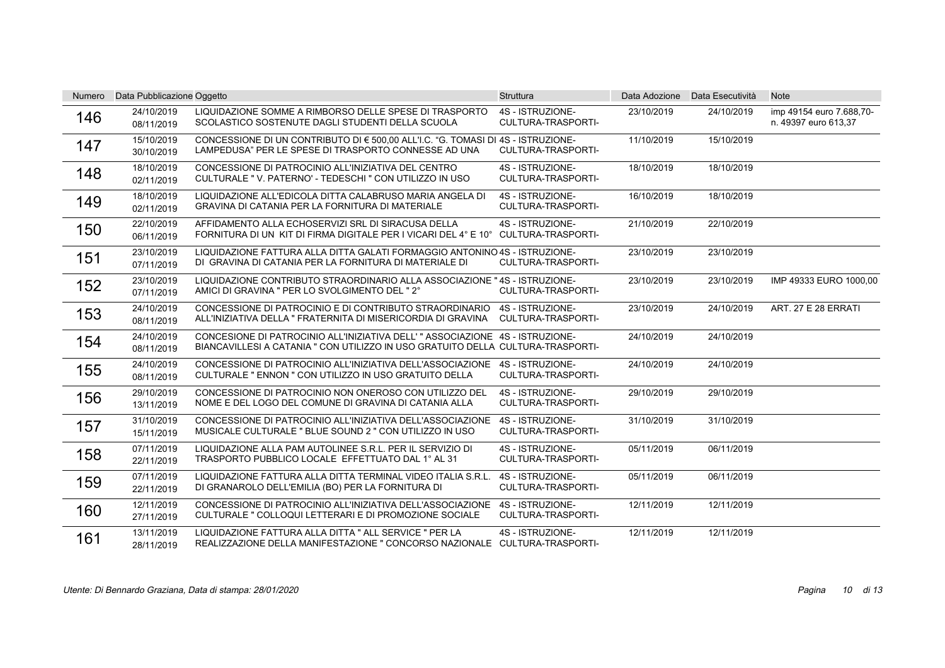| <b>Numero</b> | Data Pubblicazione Oggetto |                                                                                                                                                                 | <b>Struttura</b>                              | Data Adozione | Data Esecutività | <b>Note</b>                                      |
|---------------|----------------------------|-----------------------------------------------------------------------------------------------------------------------------------------------------------------|-----------------------------------------------|---------------|------------------|--------------------------------------------------|
| 146           | 24/10/2019<br>08/11/2019   | LIQUIDAZIONE SOMME A RIMBORSO DELLE SPESE DI TRASPORTO<br>SCOLASTICO SOSTENUTE DAGLI STUDENTI DELLA SCUOLA                                                      | 4S - ISTRUZIONE-<br>CULTURA-TRASPORTI-        | 23/10/2019    | 24/10/2019       | imp 49154 euro 7.688,70-<br>n. 49397 euro 613,37 |
| 147           | 15/10/2019<br>30/10/2019   | CONCESSIONE DI UN CONTRIBUTO DI € 500,00 ALL'I.C. "G. TOMASI DI 4S - ISTRUZIONE-<br>LAMPEDUSA" PER LE SPESE DI TRASPORTO CONNESSE AD UNA                        | <b>CULTURA-TRASPORTI-</b>                     | 11/10/2019    | 15/10/2019       |                                                  |
| 148           | 18/10/2019<br>02/11/2019   | CONCESSIONE DI PATROCINIO ALL'INIZIATIVA DEL CENTRO<br>CULTURALE "V. PATERNO' - TEDESCHI " CON UTILIZZO IN USO                                                  | 4S - ISTRUZIONE-<br>CULTURA-TRASPORTI-        | 18/10/2019    | 18/10/2019       |                                                  |
| 149           | 18/10/2019<br>02/11/2019   | LIQUIDAZIONE ALL'EDICOLA DITTA CALABRUSO MARIA ANGELA DI<br>GRAVINA DI CATANIA PER LA FORNITURA DI MATERIALE                                                    | 4S - ISTRUZIONE-<br><b>CULTURA-TRASPORTI-</b> | 16/10/2019    | 18/10/2019       |                                                  |
| 150           | 22/10/2019<br>06/11/2019   | AFFIDAMENTO ALLA ECHOSERVIZI SRL DI SIRACUSA DELLA<br>FORNITURA DI UN KIT DI FIRMA DIGITALE PER I VICARI DEL 4° E 10° CULTURA-TRASPORTI-                        | 4S - ISTRUZIONE-                              | 21/10/2019    | 22/10/2019       |                                                  |
| 151           | 23/10/2019<br>07/11/2019   | LIQUIDAZIONE FATTURA ALLA DITTA GALATI FORMAGGIO ANTONINO 4S - ISTRUZIONE-<br>DI GRAVINA DI CATANIA PER LA FORNITURA DI MATERIALE DI                            | CULTURA-TRASPORTI-                            | 23/10/2019    | 23/10/2019       |                                                  |
| 152           | 23/10/2019<br>07/11/2019   | LIQUIDAZIONE CONTRIBUTO STRAORDINARIO ALLA ASSOCIAZIONE "4S - ISTRUZIONE-<br>AMICI DI GRAVINA " PER LO SVOLGIMENTO DEL "2°                                      | CULTURA-TRASPORTI-                            | 23/10/2019    | 23/10/2019       | IMP 49333 EURO 1000,00                           |
| 153           | 24/10/2019<br>08/11/2019   | CONCESSIONE DI PATROCINIO E DI CONTRIBUTO STRAORDINARIO<br>ALL'INIZIATIVA DELLA " FRATERNITA DI MISERICORDIA DI GRAVINA                                         | 4S - ISTRUZIONE-<br>CULTURA-TRASPORTI-        | 23/10/2019    | 24/10/2019       | ART. 27 E 28 ERRATI                              |
| 154           | 24/10/2019<br>08/11/2019   | CONCESIONE DI PATROCINIO ALL'INIZIATIVA DELL'" ASSOCIAZIONE 4S - ISTRUZIONE-<br>BIANCAVILLESI A CATANIA " CON UTILIZZO IN USO GRATUITO DELLA CULTURA-TRASPORTI- |                                               | 24/10/2019    | 24/10/2019       |                                                  |
| 155           | 24/10/2019<br>08/11/2019   | CONCESSIONE DI PATROCINIO ALL'INIZIATIVA DELL'ASSOCIAZIONE<br>CULTURALE " ENNON " CON UTILIZZO IN USO GRATUITO DELLA                                            | 4S - ISTRUZIONE-<br><b>CULTURA-TRASPORTI-</b> | 24/10/2019    | 24/10/2019       |                                                  |
| 156           | 29/10/2019<br>13/11/2019   | CONCESSIONE DI PATROCINIO NON ONEROSO CON UTILIZZO DEL<br>NOME E DEL LOGO DEL COMUNE DI GRAVINA DI CATANIA ALLA                                                 | 4S - ISTRUZIONE-<br><b>CULTURA-TRASPORTI-</b> | 29/10/2019    | 29/10/2019       |                                                  |
| 157           | 31/10/2019<br>15/11/2019   | CONCESSIONE DI PATROCINIO ALL'INIZIATIVA DELL'ASSOCIAZIONE<br>MUSICALE CULTURALE " BLUE SOUND 2 " CON UTILIZZO IN USO                                           | 4S - ISTRUZIONE-<br><b>CULTURA-TRASPORTI-</b> | 31/10/2019    | 31/10/2019       |                                                  |
| 158           | 07/11/2019<br>22/11/2019   | LIQUIDAZIONE ALLA PAM AUTOLINEE S.R.L. PER IL SERVIZIO DI<br>TRASPORTO PUBBLICO LOCALE EFFETTUATO DAL 1° AL 31                                                  | 4S - ISTRUZIONE-<br><b>CULTURA-TRASPORTI-</b> | 05/11/2019    | 06/11/2019       |                                                  |
| 159           | 07/11/2019<br>22/11/2019   | LIQUIDAZIONE FATTURA ALLA DITTA TERMINAL VIDEO ITALIA S.R.L.<br>DI GRANAROLO DELL'EMILIA (BO) PER LA FORNITURA DI                                               | 4S - ISTRUZIONE-<br>CULTURA-TRASPORTI-        | 05/11/2019    | 06/11/2019       |                                                  |
| 160           | 12/11/2019<br>27/11/2019   | CONCESSIONE DI PATROCINIO ALL'INIZIATIVA DELL'ASSOCIAZIONE<br>CULTURALE " COLLOQUI LETTERARI E DI PROMOZIONE SOCIALE                                            | 4S - ISTRUZIONE-<br>CULTURA-TRASPORTI-        | 12/11/2019    | 12/11/2019       |                                                  |
| 161           | 13/11/2019<br>28/11/2019   | LIQUIDAZIONE FATTURA ALLA DITTA " ALL SERVICE " PER LA<br>REALIZZAZIONE DELLA MANIFESTAZIONE " CONCORSO NAZIONALE CULTURA-TRASPORTI-                            | 4S - ISTRUZIONE-                              | 12/11/2019    | 12/11/2019       |                                                  |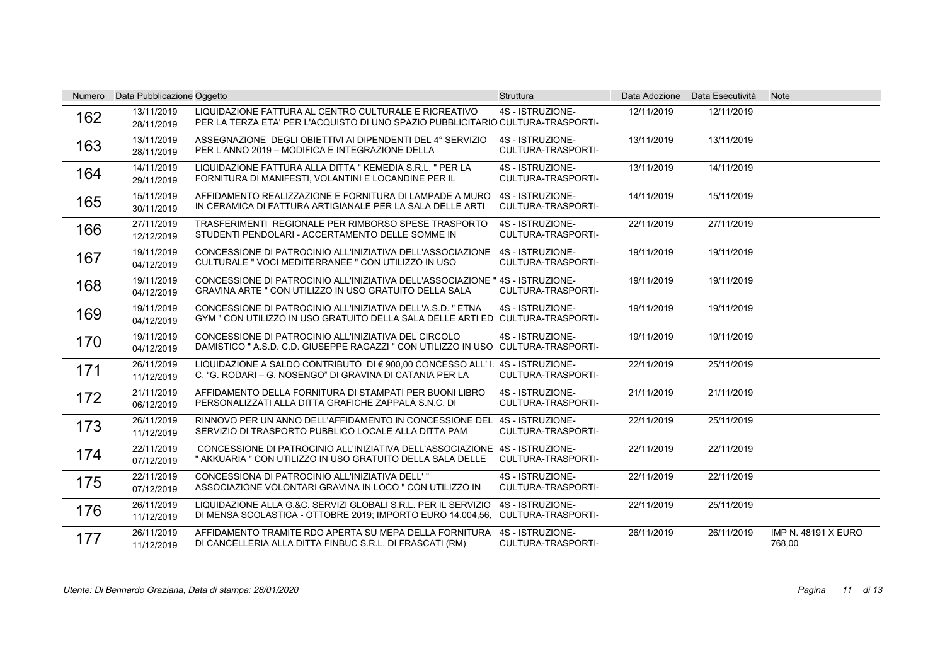| Numero | Data Pubblicazione Oggetto |                                                                                                                                                  | <b>Struttura</b>                              |            | Data Adozione Data Esecutività | <b>Note</b>                          |
|--------|----------------------------|--------------------------------------------------------------------------------------------------------------------------------------------------|-----------------------------------------------|------------|--------------------------------|--------------------------------------|
| 162    | 13/11/2019<br>28/11/2019   | LIQUIDAZIONE FATTURA AL CENTRO CULTURALE E RICREATIVO<br>PER LA TERZA ETA' PER L'ACQUISTO DI UNO SPAZIO PUBBLICITARIO CULTURA-TRASPORTI-         | 4S - ISTRUZIONE-                              | 12/11/2019 | 12/11/2019                     |                                      |
| 163    | 13/11/2019<br>28/11/2019   | ASSEGNAZIONE DEGLI OBIETTIVI AI DIPENDENTI DEL 4° SERVIZIO<br>PER L'ANNO 2019 - MODIFICA E INTEGRAZIONE DELLA                                    | 4S - ISTRUZIONE-<br>CULTURA-TRASPORTI-        | 13/11/2019 | 13/11/2019                     |                                      |
| 164    | 14/11/2019<br>29/11/2019   | LIQUIDAZIONE FATTURA ALLA DITTA "KEMEDIA S.R.L. " PER LA<br>FORNITURA DI MANIFESTI, VOLANTINI E LOCANDINE PER IL                                 | 4S - ISTRUZIONE-<br>CULTURA-TRASPORTI-        | 13/11/2019 | 14/11/2019                     |                                      |
| 165    | 15/11/2019<br>30/11/2019   | AFFIDAMENTO REALIZZAZIONE E FORNITURA DI LAMPADE A MURO<br>IN CERAMICA DI FATTURA ARTIGIANALE PER LA SALA DELLE ARTI                             | 4S - ISTRUZIONE-<br><b>CULTURA-TRASPORTI-</b> | 14/11/2019 | 15/11/2019                     |                                      |
| 166    | 27/11/2019<br>12/12/2019   | TRASFERIMENTI REGIONALE PER RIMBORSO SPESE TRASPORTO<br>STUDENTI PENDOLARI - ACCERTAMENTO DELLE SOMME IN                                         | 4S - ISTRUZIONE-<br><b>CULTURA-TRASPORTI-</b> | 22/11/2019 | 27/11/2019                     |                                      |
| 167    | 19/11/2019<br>04/12/2019   | CONCESSIONE DI PATROCINIO ALL'INIZIATIVA DELL'ASSOCIAZIONE<br>CULTURALE " VOCI MEDITERRANEE " CON UTILIZZO IN USO                                | 4S - ISTRUZIONE-<br><b>CULTURA-TRASPORTI-</b> | 19/11/2019 | 19/11/2019                     |                                      |
| 168    | 19/11/2019<br>04/12/2019   | CONCESSIONE DI PATROCINIO ALL'INIZIATIVA DELL'ASSOCIAZIONE "4S - ISTRUZIONE-<br>GRAVINA ARTE " CON UTILIZZO IN USO GRATUITO DELLA SALA           | <b>CULTURA-TRASPORTI-</b>                     | 19/11/2019 | 19/11/2019                     |                                      |
| 169    | 19/11/2019<br>04/12/2019   | CONCESSIONE DI PATROCINIO ALL'INIZIATIVA DELL'A.S.D. " ETNA<br>GYM " CON UTILIZZO IN USO GRATUITO DELLA SALA DELLE ARTI ED CULTURA-TRASPORTI-    | 4S - ISTRUZIONE-                              | 19/11/2019 | 19/11/2019                     |                                      |
| 170    | 19/11/2019<br>04/12/2019   | CONCESSIONE DI PATROCINIO ALL'INIZIATIVA DEL CIRCOLO<br>DAMISTICO " A.S.D. C.D. GIUSEPPE RAGAZZI " CON UTILIZZO IN USO CULTURA-TRASPORTI-        | 4S - ISTRUZIONE-                              | 19/11/2019 | 19/11/2019                     |                                      |
| 171    | 26/11/2019<br>11/12/2019   | LIQUIDAZIONE A SALDO CONTRIBUTO DI € 900.00 CONCESSO ALL' I. 4S - ISTRUZIONE-<br>C. "G. RODARI – G. NOSENGO" DI GRAVINA DI CATANIA PER LA        | <b>CULTURA-TRASPORTI-</b>                     | 22/11/2019 | 25/11/2019                     |                                      |
| 172    | 21/11/2019<br>06/12/2019   | AFFIDAMENTO DELLA FORNITURA DI STAMPATI PER BUONI LIBRO<br>PERSONALIZZATI ALLA DITTA GRAFICHE ZAPPALÁ S.N.C. DI                                  | 4S - ISTRUZIONE-<br>CULTURA-TRASPORTI-        | 21/11/2019 | 21/11/2019                     |                                      |
| 173    | 26/11/2019<br>11/12/2019   | RINNOVO PER UN ANNO DELL'AFFIDAMENTO IN CONCESSIONE DEL<br>SERVIZIO DI TRASPORTO PUBBLICO LOCALE ALLA DITTA PAM                                  | 4S - ISTRUZIONE-<br><b>CULTURA-TRASPORTI-</b> | 22/11/2019 | 25/11/2019                     |                                      |
| 174    | 22/11/2019<br>07/12/2019   | CONCESSIONE DI PATROCINIO ALL'INIZIATIVA DELL'ASSOCIAZIONE 4S - ISTRUZIONE-<br>" AKKUARIA " CON UTILIZZO IN USO GRATUITO DELLA SALA DELLE        | CULTURA-TRASPORTI-                            | 22/11/2019 | 22/11/2019                     |                                      |
| 175    | 22/11/2019<br>07/12/2019   | CONCESSIONA DI PATROCINIO ALL'INIZIATIVA DELL'"<br>ASSOCIAZIONE VOLONTARI GRAVINA IN LOCO " CON UTILIZZO IN                                      | 4S - ISTRUZIONE-<br><b>CULTURA-TRASPORTI-</b> | 22/11/2019 | 22/11/2019                     |                                      |
| 176    | 26/11/2019<br>11/12/2019   | LIQUIDAZIONE ALLA G.&C. SERVIZI GLOBALI S.R.L. PER IL SERVIZIO<br>DI MENSA SCOLASTICA - OTTOBRE 2019; IMPORTO EURO 14.004.56, CULTURA-TRASPORTI- | 4S - ISTRUZIONE-                              | 22/11/2019 | 25/11/2019                     |                                      |
| 177    | 26/11/2019<br>11/12/2019   | AFFIDAMENTO TRAMITE RDO APERTA SU MEPA DELLA FORNITURA<br>DI CANCELLERIA ALLA DITTA FINBUC S.R.L. DI FRASCATI (RM)                               | 4S - ISTRUZIONE-<br>CULTURA-TRASPORTI-        | 26/11/2019 | 26/11/2019                     | <b>IMP N. 48191 X EURO</b><br>768,00 |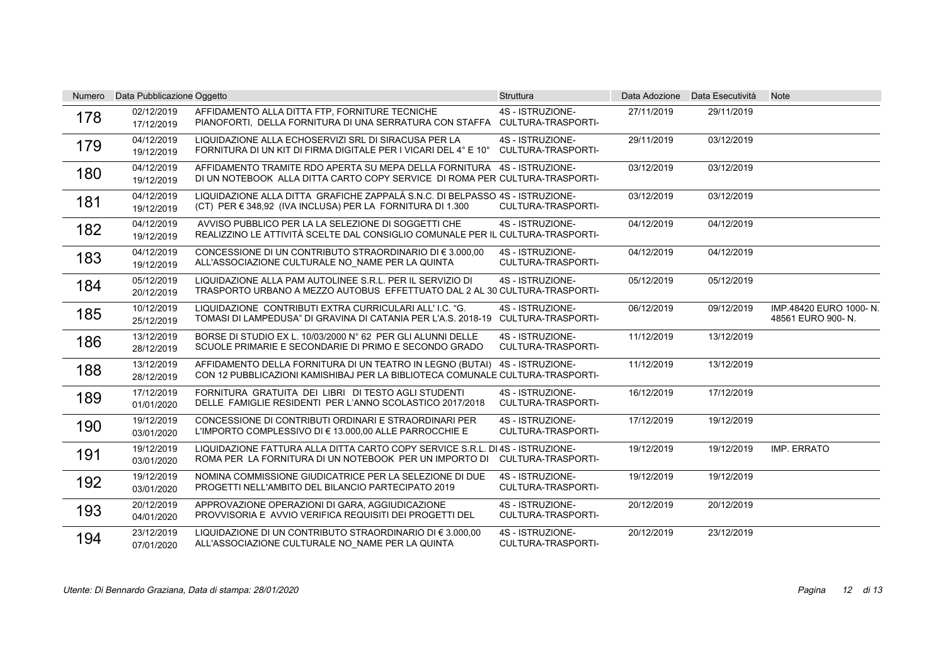| Numero | Data Pubblicazione Oggetto |                                                                                                                                                             | <b>Struttura</b>                              |            | Data Adozione Data Esecutività | <b>Note</b>                                 |
|--------|----------------------------|-------------------------------------------------------------------------------------------------------------------------------------------------------------|-----------------------------------------------|------------|--------------------------------|---------------------------------------------|
| 178    | 02/12/2019<br>17/12/2019   | AFFIDAMENTO ALLA DITTA FTP, FORNITURE TECNICHE<br>PIANOFORTI. DELLA FORNITURA DI UNA SERRATURA CON STAFFA                                                   | 4S - ISTRUZIONE-<br><b>CULTURA-TRASPORTI-</b> | 27/11/2019 | 29/11/2019                     |                                             |
| 179    | 04/12/2019<br>19/12/2019   | LIQUIDAZIONE ALLA ECHOSERVIZI SRL DI SIRACUSA PER LA<br>FORNITURA DI UN KIT DI FIRMA DIGITALE PER I VICARI DEL 4° E 10°                                     | 4S - ISTRUZIONE-<br><b>CULTURA-TRASPORTI-</b> | 29/11/2019 | 03/12/2019                     |                                             |
| 180    | 04/12/2019<br>19/12/2019   | AFFIDAMENTO TRAMITE RDO APERTA SU MEPA DELLA FORNITURA 4S - ISTRUZIONE-<br>DI UN NOTEBOOK ALLA DITTA CARTO COPY SERVICE DI ROMA PER CULTURA-TRASPORTI-      |                                               | 03/12/2019 | 03/12/2019                     |                                             |
| 181    | 04/12/2019<br>19/12/2019   | LIQUIDAZIONE ALLA DITTA GRAFICHE ZAPPALÁ S.N.C. DI BELPASSO 4S - ISTRUZIONE-<br>(CT) PER $\in$ 348,92 (IVA INCLUSA) PER LA FORNITURA DI 1.300               | CULTURA-TRASPORTI-                            | 03/12/2019 | 03/12/2019                     |                                             |
| 182    | 04/12/2019<br>19/12/2019   | AVVISO PUBBLICO PER LA LA SELEZIONE DI SOGGETTI CHE<br>REALIZZINO LE ATTIVITÀ SCELTE DAL CONSIGLIO COMUNALE PER IL CULTURA-TRASPORTI-                       | 4S - ISTRUZIONE-                              | 04/12/2019 | 04/12/2019                     |                                             |
| 183    | 04/12/2019<br>19/12/2019   | CONCESSIONE DI UN CONTRIBUTO STRAORDINARIO DI € 3.000.00<br>ALL'ASSOCIAZIONE CULTURALE NO NAME PER LA QUINTA                                                | 4S - ISTRUZIONE-<br><b>CULTURA-TRASPORTI-</b> | 04/12/2019 | 04/12/2019                     |                                             |
| 184    | 05/12/2019<br>20/12/2019   | LIQUIDAZIONE ALLA PAM AUTOLINEE S.R.L. PER IL SERVIZIO DI<br>TRASPORTO URBANO A MEZZO AUTOBUS EFFETTUATO DAL 2 AL 30 CULTURA-TRASPORTI-                     | 4S - ISTRUZIONE-                              | 05/12/2019 | 05/12/2019                     |                                             |
| 185    | 10/12/2019<br>25/12/2019   | LIQUIDAZIONE CONTRIBUTI EXTRA CURRICULARI ALL'I.C. "G.<br>TOMASI DI LAMPEDUSA" DI GRAVINA DI CATANIA PER L'A.S. 2018-19 CULTURA-TRASPORTI-                  | 4S - ISTRUZIONE-                              | 06/12/2019 | 09/12/2019                     | IMP.48420 EURO 1000-N.<br>48561 EURO 900-N. |
| 186    | 13/12/2019<br>28/12/2019   | BORSE DI STUDIO EX L. 10/03/2000 N° 62 PER GLI ALUNNI DELLE<br>SCUOLE PRIMARIE E SECONDARIE DI PRIMO E SECONDO GRADO                                        | 4S - ISTRUZIONE-<br><b>CULTURA-TRASPORTI-</b> | 11/12/2019 | 13/12/2019                     |                                             |
| 188    | 13/12/2019<br>28/12/2019   | AFFIDAMENTO DELLA FORNITURA DI UN TEATRO IN LEGNO (BUTAI) 4S - ISTRUZIONE-<br>CON 12 PUBBLICAZIONI KAMISHIBAJ PER LA BIBLIOTECA COMUNALE CULTURA-TRASPORTI- |                                               | 11/12/2019 | 13/12/2019                     |                                             |
| 189    | 17/12/2019<br>01/01/2020   | FORNITURA GRATUITA DEI LIBRI DI TESTO AGLI STUDENTI<br>DELLE FAMIGLIE RESIDENTI PER L'ANNO SCOLASTICO 2017/2018                                             | 4S - ISTRUZIONE-<br>CULTURA-TRASPORTI-        | 16/12/2019 | 17/12/2019                     |                                             |
| 190    | 19/12/2019<br>03/01/2020   | CONCESSIONE DI CONTRIBUTI ORDINARI E STRAORDINARI PER<br>L'IMPORTO COMPLESSIVO DI € 13.000,00 ALLE PARROCCHIE E                                             | 4S - ISTRUZIONE-<br>CULTURA-TRASPORTI-        | 17/12/2019 | 19/12/2019                     |                                             |
| 191    | 19/12/2019<br>03/01/2020   | LIQUIDAZIONE FATTURA ALLA DITTA CARTO COPY SERVICE S.R.L. DI 4S - ISTRUZIONE-<br>ROMA PER LA FORNITURA DI UN NOTEBOOK PER UN IMPORTO DI                     | <b>CULTURA-TRASPORTI-</b>                     | 19/12/2019 | 19/12/2019                     | IMP. ERRATO                                 |
| 192    | 19/12/2019<br>03/01/2020   | NOMINA COMMISSIONE GIUDICATRICE PER LA SELEZIONE DI DUE<br>PROGETTI NELL'AMBITO DEL BILANCIO PARTECIPATO 2019                                               | 4S - ISTRUZIONE-<br><b>CULTURA-TRASPORTI-</b> | 19/12/2019 | 19/12/2019                     |                                             |
| 193    | 20/12/2019<br>04/01/2020   | APPROVAZIONE OPERAZIONI DI GARA. AGGIUDICAZIONE<br>PROVVISORIA E AVVIO VERIFICA REQUISITI DEI PROGETTI DEL                                                  | 4S - ISTRUZIONE-<br>CULTURA-TRASPORTI-        | 20/12/2019 | 20/12/2019                     |                                             |
| 194    | 23/12/2019<br>07/01/2020   | LIQUIDAZIONE DI UN CONTRIBUTO STRAORDINARIO DI € 3.000,00<br>ALL'ASSOCIAZIONE CULTURALE NO NAME PER LA QUINTA                                               | 4S - ISTRUZIONE-<br>CULTURA-TRASPORTI-        | 20/12/2019 | 23/12/2019                     |                                             |